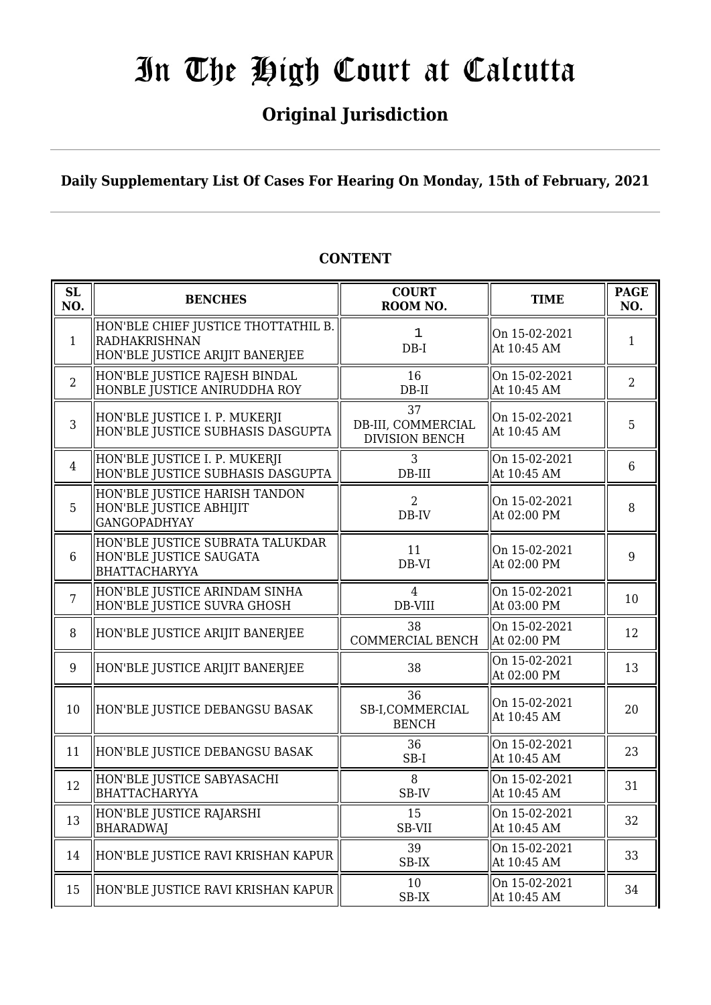## **Original Jurisdiction**

**Daily Supplementary List Of Cases For Hearing On Monday, 15th of February, 2021**

#### **SL SL BENCHES COURT**<br> **NO. BENCHES COURT ROOM NO.** TIME PAGE ROOM NO. **NO.** 1 HON'BLE CHIEF JUSTICE THOTTATHIL B. RADHAKRISHNAN HON'BLE JUSTICE ARIJIT BANERJEE DB-I On 15-02-2021  $\begin{array}{c|c}\n\text{On 13-02-2021} \\
\text{At 10:45 AM}\n\end{array}$  1 2 HON'BLE JUSTICE RAJESH BINDAL HONBLE JUSTICE ANIRUDDHA ROY 16 DB-II On 15-02-2021  $\left\| \begin{array}{c} 2 \\ \text{At } 10:45 \text{ AM} \end{array} \right\|$  2 3 HON'BLE JUSTICE I. P. MUKERJI HON'BLE JUSTICE SUBHASIS DASGUPTA 37 DB-III, COMMERCIAL DIVISION BENCH On 15-02-2021  $\left\| \begin{array}{c} 5 \text{ H} & 10:45 \text{ AM} \end{array} \right\|$ 4 HON'BLE JUSTICE I. P. MUKERJI HON'BLE JUSTICE SUBHASIS DASGUPTA 3 DB-III On 15-02-2021 Of 15-02-2021  $\left| \begin{array}{ccc} 6 \end{array} \right|$ 5 HON'BLE JUSTICE HARISH TANDON HON'BLE JUSTICE ABHIJIT GANGOPADHYAY 2 DB-IV On 15-02-2021  $\left\{ \begin{array}{c} \n\text{OH } 13\text{-}02\text{-}2021 \\
\text{At } 02:00 \text{ PM} \n\end{array} \right. \quad \left\| \begin{array}{c} \n8\n\end{array} \right.$ 6 HON'BLE JUSTICE SUBRATA TALUKDAR HON'BLE JUSTICE SAUGATA **BHATTACHARYYA** 11 DB-VI On 15-02-2021  $\left\{ \begin{array}{ccc} \text{On 13-02-2021} \\ \text{At 02:00 PM} \end{array} \right. \qquad \left\| \begin{array}{c} 9 \end{array} \right.$ 7 HON'BLE JUSTICE ARINDAM SINHA HON'BLE JUSTICE SUVRA GHOSH 4 DB-VIII On 15-02-2021 Of 15-02-2021  $\left| \begin{array}{c} 10 \\ 10 \end{array} \right|$ 8 HON'BLE JUSTICE ARIJIT BANERJEE  $\parallel$  38 COMMERCIAL BENCH On 15-02-2021  $\left\| \begin{array}{ccc} 0.1 & 1 & 0 & 0 & 0 \\ 0.1 & 0 & 0 & 0 & 0 \\ 0 & 0 & 0 & 0 & 0 \\ 0 & 0 & 0 & 0 & 0 \\ 0 & 0 & 0 & 0 & 0 \\ 0 & 0 & 0 & 0 & 0 \\ 0 & 0 & 0 & 0 & 0 \\ 0 & 0 & 0 & 0 & 0 \\ 0 & 0 & 0 & 0 & 0 \\ 0 & 0 & 0 & 0 & 0 \\ 0 & 0 & 0 & 0 & 0 \\ 0 & 0 & 0 & 0 & 0 \\ 0 & 0 & 0 & 0 & 0 \\ 0 & 0 & 0 &$ 9 HON'BLE JUSTICE ARIJIT BANERJEE  $\parallel$  38  $\parallel$  00 15-02-2021  $\begin{array}{c|c}\n\text{Out 13-02-2021} \\
\text{At 02-00 PM}\n\end{array}$  13 10 HON'BLE JUSTICE DEBANGSU BASAK 36 SB-I,COMMERCIAL BENCH On 15-02-2021  $\left\| \begin{array}{c} 20 \\ \text{At } 10:45 \text{ AM} \end{array} \right\| \left\| 20 \right\|$ 11  $\parallel$  HON'BLE JUSTICE DEBANGSU BASAK  $\parallel$  36 SB-I On 15-02-2021  $\left\| \begin{array}{c} 23 \\ \text{At } 10:45 \text{ AM} \end{array} \right\|$ 12 HON'BLE JUSTICE SABYASACHI BHATTACHARYYA 8 SB-IV On 15-02-2021  $\left[\begin{array}{ccc} \text{OH} & 13\text{-}02\text{-}2021 \\ \text{At} & 10\text{-}45 \text{ AM} \end{array}\right]$  31 13 HON'BLE JUSTICE RAJARSHI BHARADWAJ 15 SB-VII On 15-02-2021  $\left\| \begin{array}{cc} 32 \\ 21113 \cdot 645 \text{ AM} \end{array} \right\|$  32 14 HON'BLE JUSTICE RAVI KRISHAN KAPUR  $\parallel$  39 SB-IX On 15-02-2021  $\left\| \begin{array}{c} 33 \\ \text{At } 10:45 \text{ AM} \end{array} \right\|$ 15 HON'BLE JUSTICE RAVI KRISHAN KAPUR  $\parallel$  10 SB-IX On 15-02-2021  $\begin{array}{|c|c|c|c|c|c|c|c|} \hline \text{At 10:45 AM} & & & 34 \hline \end{array}$ 1

### **CONTENT**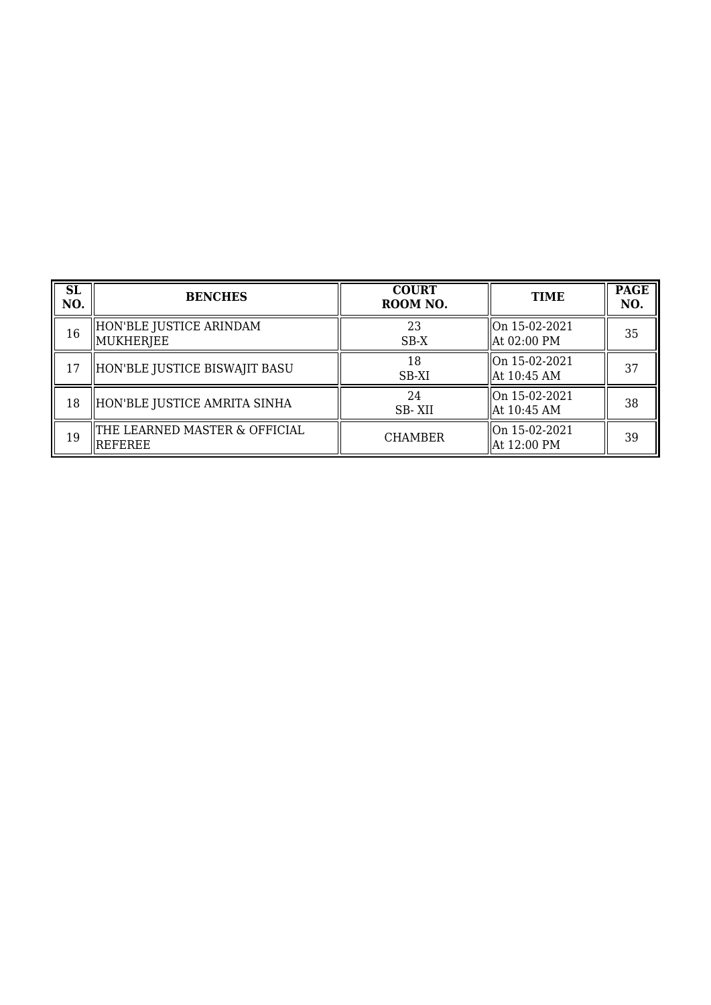| <b>SL</b><br>NO. | <b>BENCHES</b>                                   | <b>COURT</b><br>ROOM NO. | <b>TIME</b>                                          | <b>PAGE</b><br>NO. |
|------------------|--------------------------------------------------|--------------------------|------------------------------------------------------|--------------------|
| 16               | HON'BLE JUSTICE ARINDAM<br>MUKHERJEE             | 23<br>SB-X               | $\parallel$ On 15-02-2021<br>$\parallel$ At 02:00 PM | 35                 |
| 17               | HON'BLE JUSTICE BISWAJIT BASU                    | 18<br>SB-XI              | llOn 15-02-2021<br>  At 10:45 AM                     | 37                 |
| 18               | HON'BLE JUSTICE AMRITA SINHA                     | 24<br>SB-XII             | llOn 15-02-2021<br>  At 10:45 AM                     | 38                 |
| 19               | THE LEARNED MASTER & OFFICIAL<br><b>IREFEREE</b> | <b>CHAMBER</b>           | On 15-02-2021<br>  At 12:00 PM                       | 39                 |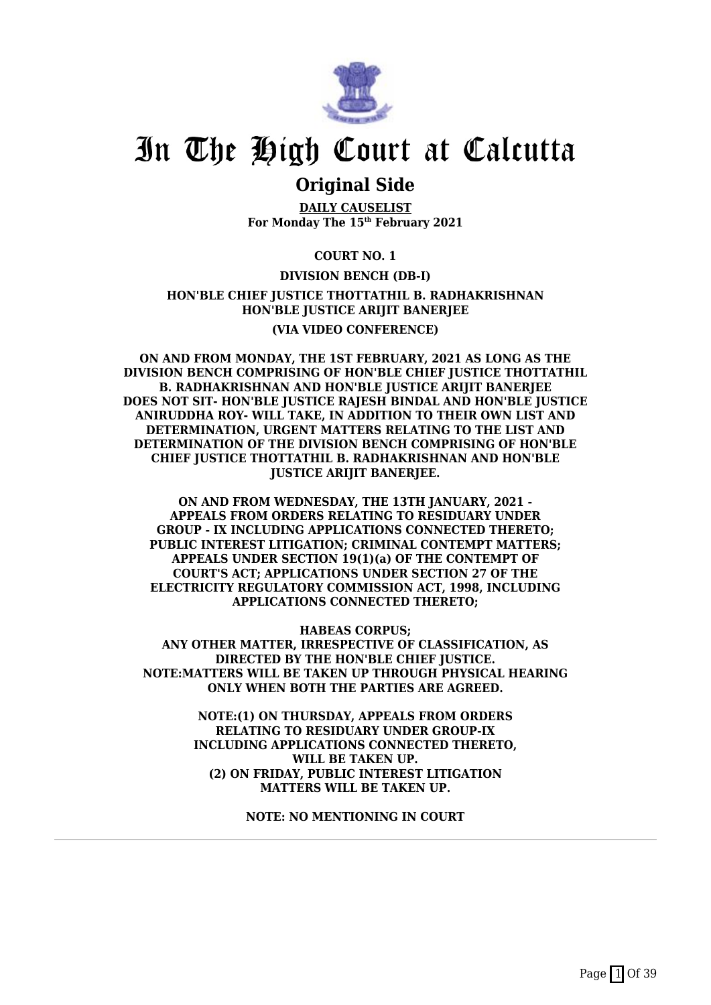

### **Original Side**

**DAILY CAUSELIST For Monday The 15th February 2021**

**COURT NO. 1**

**DIVISION BENCH (DB-I) HON'BLE CHIEF JUSTICE THOTTATHIL B. RADHAKRISHNAN HON'BLE JUSTICE ARIJIT BANERJEE**

**(VIA VIDEO CONFERENCE)**

**ON AND FROM MONDAY, THE 1ST FEBRUARY, 2021 AS LONG AS THE DIVISION BENCH COMPRISING OF HON'BLE CHIEF JUSTICE THOTTATHIL B. RADHAKRISHNAN AND HON'BLE JUSTICE ARIJIT BANERJEE DOES NOT SIT- HON'BLE JUSTICE RAJESH BINDAL AND HON'BLE JUSTICE ANIRUDDHA ROY- WILL TAKE, IN ADDITION TO THEIR OWN LIST AND DETERMINATION, URGENT MATTERS RELATING TO THE LIST AND DETERMINATION OF THE DIVISION BENCH COMPRISING OF HON'BLE CHIEF JUSTICE THOTTATHIL B. RADHAKRISHNAN AND HON'BLE JUSTICE ARIJIT BANERJEE.**

**ON AND FROM WEDNESDAY, THE 13TH JANUARY, 2021 - APPEALS FROM ORDERS RELATING TO RESIDUARY UNDER GROUP - IX INCLUDING APPLICATIONS CONNECTED THERETO; PUBLIC INTEREST LITIGATION; CRIMINAL CONTEMPT MATTERS; APPEALS UNDER SECTION 19(1)(a) OF THE CONTEMPT OF COURT'S ACT; APPLICATIONS UNDER SECTION 27 OF THE ELECTRICITY REGULATORY COMMISSION ACT, 1998, INCLUDING APPLICATIONS CONNECTED THERETO;**

**HABEAS CORPUS; ANY OTHER MATTER, IRRESPECTIVE OF CLASSIFICATION, AS DIRECTED BY THE HON'BLE CHIEF JUSTICE. NOTE:MATTERS WILL BE TAKEN UP THROUGH PHYSICAL HEARING ONLY WHEN BOTH THE PARTIES ARE AGREED.**

> **NOTE:(1) ON THURSDAY, APPEALS FROM ORDERS RELATING TO RESIDUARY UNDER GROUP-IX INCLUDING APPLICATIONS CONNECTED THERETO, WILL BE TAKEN UP. (2) ON FRIDAY, PUBLIC INTEREST LITIGATION MATTERS WILL BE TAKEN UP.**

> > **NOTE: NO MENTIONING IN COURT**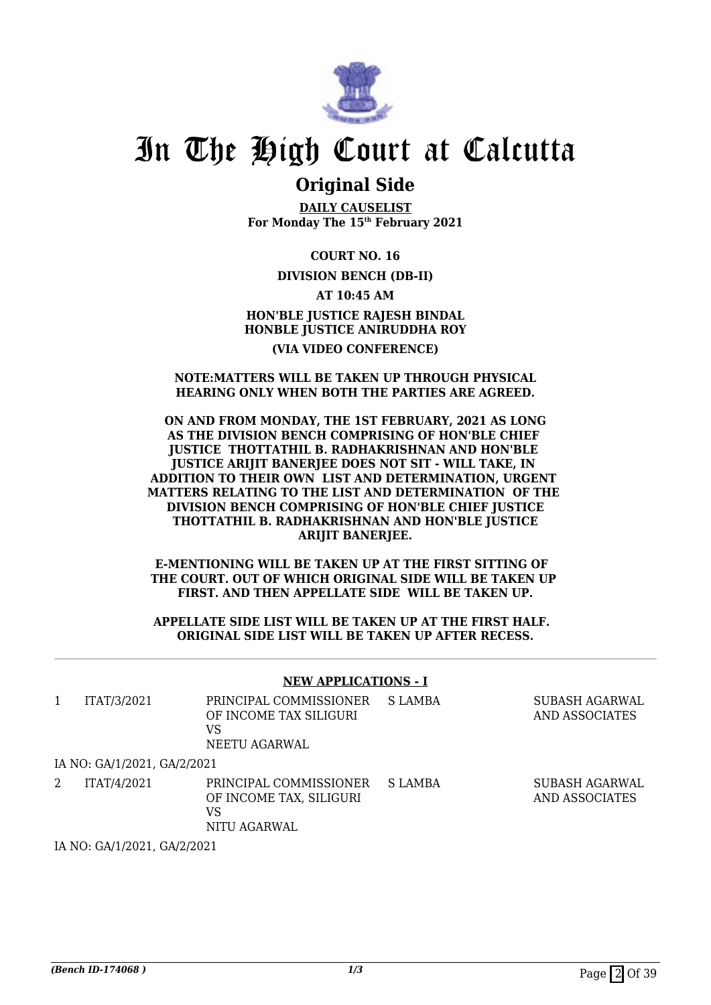

### **Original Side**

**DAILY CAUSELIST For Monday The 15th February 2021**

**COURT NO. 16**

**DIVISION BENCH (DB-II)**

**AT 10:45 AM HON'BLE JUSTICE RAJESH BINDAL HONBLE JUSTICE ANIRUDDHA ROY (VIA VIDEO CONFERENCE)**

### **NOTE:MATTERS WILL BE TAKEN UP THROUGH PHYSICAL HEARING ONLY WHEN BOTH THE PARTIES ARE AGREED.**

### **ON AND FROM MONDAY, THE 1ST FEBRUARY, 2021 AS LONG AS THE DIVISION BENCH COMPRISING OF HON'BLE CHIEF JUSTICE THOTTATHIL B. RADHAKRISHNAN AND HON'BLE JUSTICE ARIJIT BANERJEE DOES NOT SIT - WILL TAKE, IN ADDITION TO THEIR OWN LIST AND DETERMINATION, URGENT MATTERS RELATING TO THE LIST AND DETERMINATION OF THE DIVISION BENCH COMPRISING OF HON'BLE CHIEF JUSTICE THOTTATHIL B. RADHAKRISHNAN AND HON'BLE JUSTICE ARIJIT BANERJEE.**

**E-MENTIONING WILL BE TAKEN UP AT THE FIRST SITTING OF THE COURT. OUT OF WHICH ORIGINAL SIDE WILL BE TAKEN UP FIRST. AND THEN APPELLATE SIDE WILL BE TAKEN UP.**

### **APPELLATE SIDE LIST WILL BE TAKEN UP AT THE FIRST HALF. ORIGINAL SIDE LIST WILL BE TAKEN UP AFTER RECESS.**

### **NEW APPLICATIONS - I**

| ITAT/3/2021                 | PRINCIPAL COMMISSIONER<br>OF INCOME TAX SILIGURI<br>VS<br>NEETU AGARWAL | S LAMBA | SUBASH AGARWAL<br>AND ASSOCIATES |
|-----------------------------|-------------------------------------------------------------------------|---------|----------------------------------|
| IA NO: GA/1/2021, GA/2/2021 |                                                                         |         |                                  |
| ITAT/4/2021                 | PRINCIPAL COMMISSIONER<br>OF INCOME TAX, SILIGURI<br>VS<br>NITU AGARWAL | S LAMBA | SUBASH AGARWAL<br>AND ASSOCIATES |

IA NO: GA/1/2021, GA/2/2021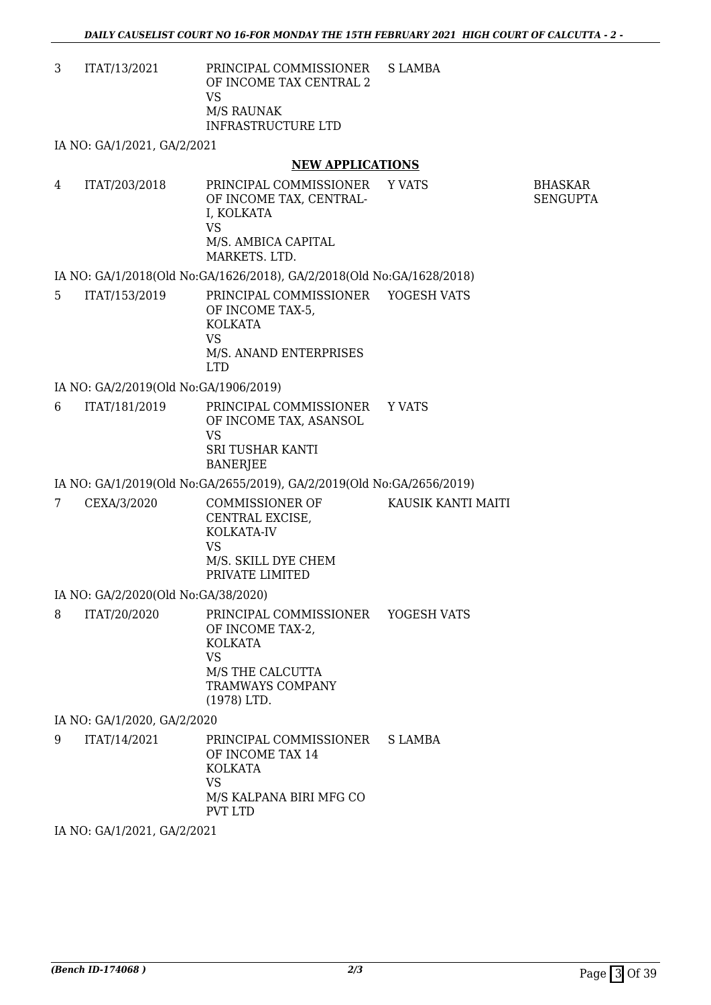3 ITAT/13/2021 PRINCIPAL COMMISSIONER OF INCOME TAX CENTRAL 2 VS M/S RAUNAK INFRASTRUCTURE LTD S LAMBA

IA NO: GA/1/2021, GA/2/2021

### **NEW APPLICATIONS**

| 4 | ITAT/203/2018 | PRINCIPAL COMMISSIONER<br>OF INCOME TAX, CENTRAL-<br>I. KOLKATA<br>VS<br>M/S. AMBICA CAPITAL<br>MARKETS, LTD. | Y VATS | BHASKAR<br>SENGUPTA |
|---|---------------|---------------------------------------------------------------------------------------------------------------|--------|---------------------|
|   |               | IA NO: GA/1/2018(Old No: GA/1626/2018), GA/2/2018(Old No: GA/1628/2018)                                       |        |                     |

| ITAT/153/2019 | PRINCIPAL COMMISSIONER YOGESH VATS |  |
|---------------|------------------------------------|--|
|               | OF INCOME TAX-5.                   |  |
|               | KOLKATA                            |  |
|               | VS                                 |  |
|               | M/S. ANAND ENTERPRISES             |  |
|               | I TD                               |  |
|               |                                    |  |

IA NO: GA/2/2019(Old No:GA/1906/2019)

6 ITAT/181/2019 PRINCIPAL COMMISSIONER OF INCOME TAX, ASANSOL VS SRI TUSHAR KANTI BANERJEE Y VATS

IA NO: GA/1/2019(Old No:GA/2655/2019), GA/2/2019(Old No:GA/2656/2019)

| CEXA/3/2020 | COMMISSIONER OF<br>CENTRAL EXCISE.<br>KOLKATA-IV | KAUSIK KANTI MAITI |
|-------------|--------------------------------------------------|--------------------|
|             | VS<br>M/S. SKILL DYE CHEM<br>PRIVATE LIMITED     |                    |
|             |                                                  |                    |

IA NO: GA/2/2020(Old No:GA/38/2020)

8 ITAT/20/2020 PRINCIPAL COMMISSIONER YOGESH VATS OF INCOME TAX-2, KOLKATA VS M/S THE CALCUTTA TRAMWAYS COMPANY (1978) LTD.

IA NO: GA/1/2020, GA/2/2020

9 ITAT/14/2021 PRINCIPAL COMMISSIONER OF INCOME TAX 14 KOLKATA VS M/S KALPANA BIRI MFG CO PVT LTD S LAMBA

IA NO: GA/1/2021, GA/2/2021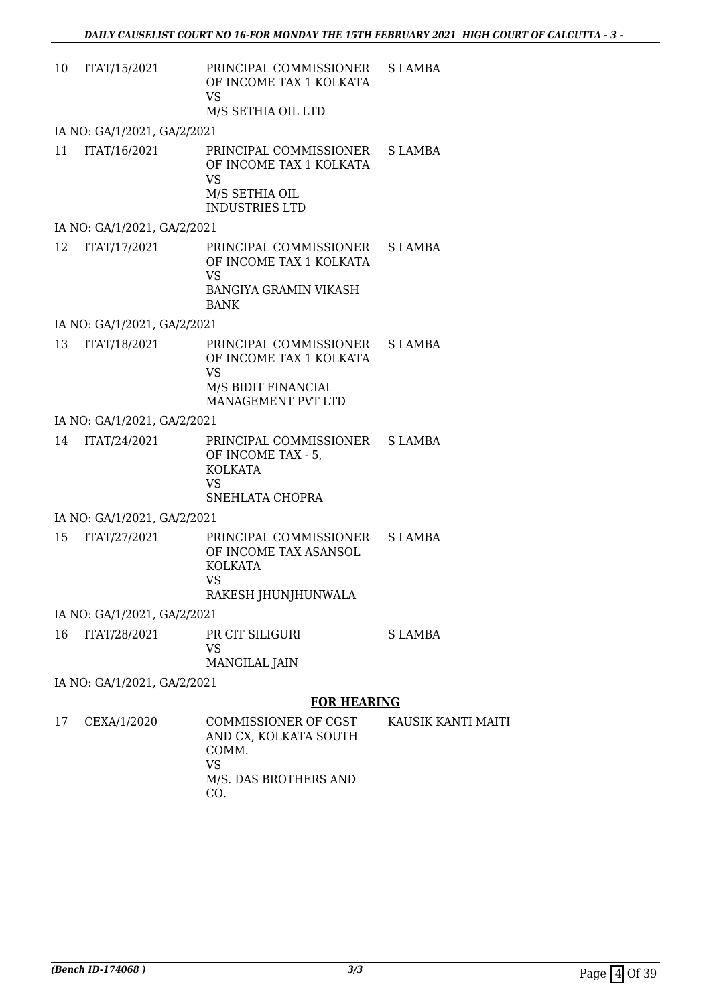| 10 | ITAT/15/2021                | PRINCIPAL COMMISSIONER<br>OF INCOME TAX 1 KOLKATA<br><b>VS</b>                                              | S LAMBA        |
|----|-----------------------------|-------------------------------------------------------------------------------------------------------------|----------------|
|    |                             | M/S SETHIA OIL LTD                                                                                          |                |
|    | IA NO: GA/1/2021, GA/2/2021 |                                                                                                             |                |
| 11 | ITAT/16/2021                | PRINCIPAL COMMISSIONER<br>OF INCOME TAX 1 KOLKATA<br>VS<br>M/S SETHIA OIL<br><b>INDUSTRIES LTD</b>          | <b>S LAMBA</b> |
|    | IA NO: GA/1/2021, GA/2/2021 |                                                                                                             |                |
| 12 | ITAT/17/2021                | PRINCIPAL COMMISSIONER<br>OF INCOME TAX 1 KOLKATA<br><b>VS</b><br><b>BANGIYA GRAMIN VIKASH</b>              | S LAMBA        |
|    |                             | <b>BANK</b>                                                                                                 |                |
|    | IA NO: GA/1/2021, GA/2/2021 |                                                                                                             |                |
| 13 | ITAT/18/2021                | PRINCIPAL COMMISSIONER<br>OF INCOME TAX 1 KOLKATA<br><b>VS</b><br>M/S BIDIT FINANCIAL<br>MANAGEMENT PVT LTD | S LAMBA        |
|    | IA NO: GA/1/2021, GA/2/2021 |                                                                                                             |                |
| 14 | ITAT/24/2021                | PRINCIPAL COMMISSIONER S LAMBA<br>OF INCOME TAX - 5,<br><b>KOLKATA</b><br>VS<br>SNEHLATA CHOPRA             |                |
|    | IA NO: GA/1/2021, GA/2/2021 |                                                                                                             |                |
| 15 | ITAT/27/2021                | PRINCIPAL COMMISSIONER<br>OF INCOME TAX ASANSOL<br>KOLKATA<br><b>VS</b><br>RAKESH JHUNJHUNWALA              | S LAMBA        |
|    | IA NO: GA/1/2021, GA/2/2021 |                                                                                                             |                |
| 16 | ITAT/28/2021                | PR CIT SILIGURI<br>VS<br>MANGILAL JAIN                                                                      | S LAMBA        |
|    | IA NO: GA/1/2021, GA/2/2021 |                                                                                                             |                |
|    |                             | <b>FOR HEARING</b>                                                                                          |                |
| 17 | CEXA/1/2020                 | COMMISSIONER OF CGST KAUSIK KANT                                                                            |                |

#### 17 CEXA/1/2020 COMMISSIONER OF CGST AND CX, KOLKATA SOUTH COMM. VS M/S. DAS BROTHERS AND CO. TI MAITI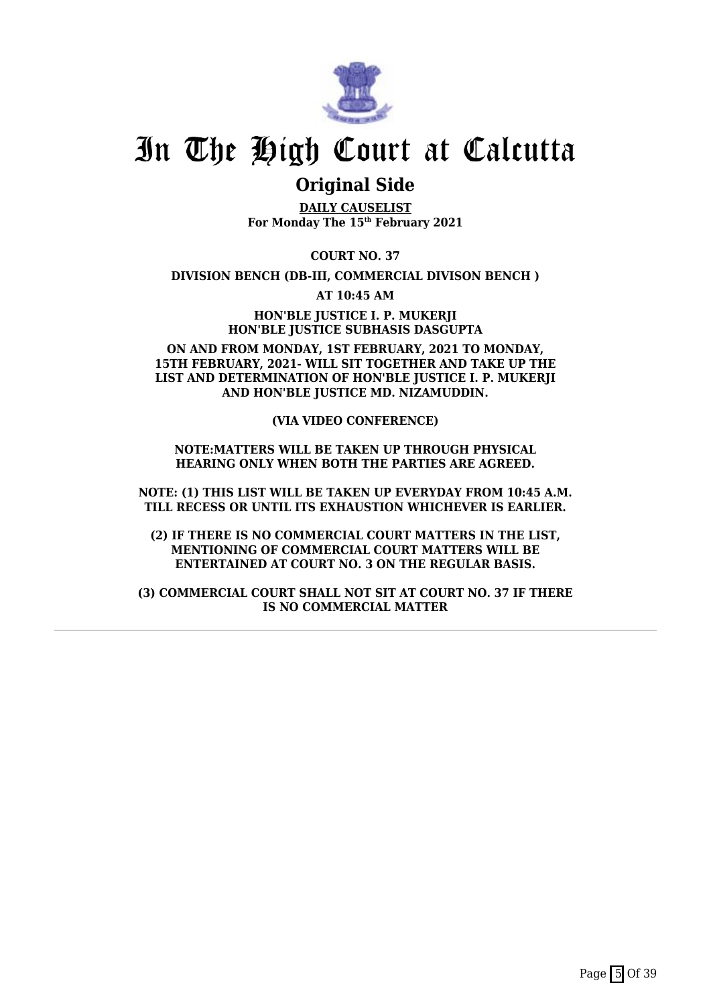

### **Original Side**

**DAILY CAUSELIST For Monday The 15th February 2021**

**COURT NO. 37**

**DIVISION BENCH (DB-III, COMMERCIAL DIVISON BENCH )**

**AT 10:45 AM**

**HON'BLE JUSTICE I. P. MUKERJI HON'BLE JUSTICE SUBHASIS DASGUPTA**

**ON AND FROM MONDAY, 1ST FEBRUARY, 2021 TO MONDAY, 15TH FEBRUARY, 2021- WILL SIT TOGETHER AND TAKE UP THE LIST AND DETERMINATION OF HON'BLE JUSTICE I. P. MUKERJI AND HON'BLE JUSTICE MD. NIZAMUDDIN.**

**(VIA VIDEO CONFERENCE)**

**NOTE:MATTERS WILL BE TAKEN UP THROUGH PHYSICAL HEARING ONLY WHEN BOTH THE PARTIES ARE AGREED.**

**NOTE: (1) THIS LIST WILL BE TAKEN UP EVERYDAY FROM 10:45 A.M. TILL RECESS OR UNTIL ITS EXHAUSTION WHICHEVER IS EARLIER.**

**(2) IF THERE IS NO COMMERCIAL COURT MATTERS IN THE LIST, MENTIONING OF COMMERCIAL COURT MATTERS WILL BE ENTERTAINED AT COURT NO. 3 ON THE REGULAR BASIS.**

**(3) COMMERCIAL COURT SHALL NOT SIT AT COURT NO. 37 IF THERE IS NO COMMERCIAL MATTER**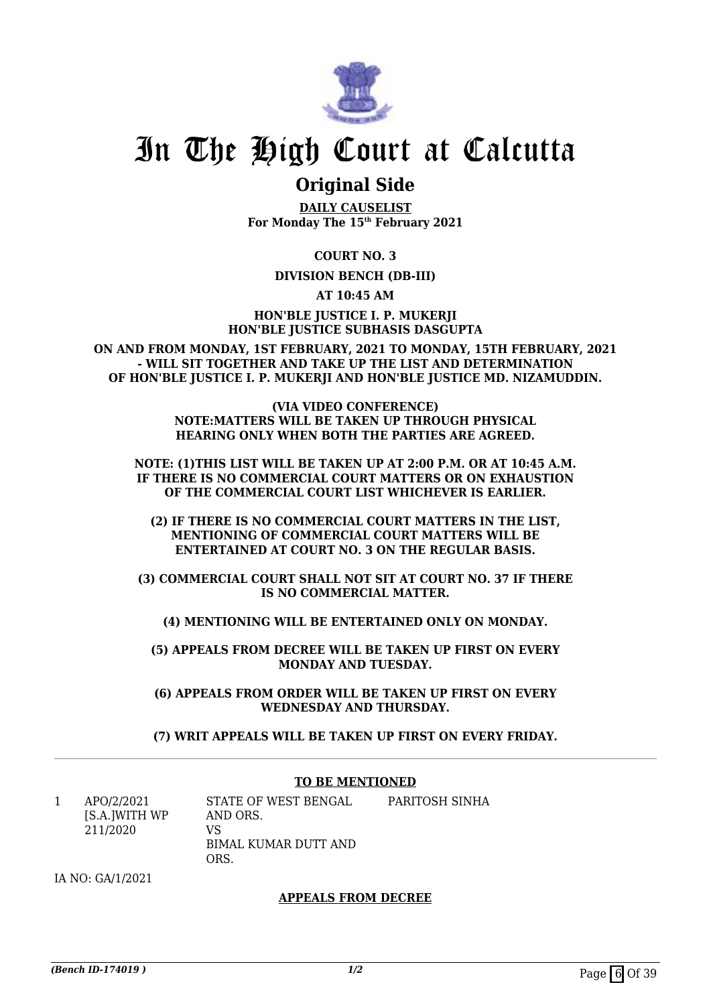

## **Original Side**

**DAILY CAUSELIST For Monday The 15th February 2021**

**COURT NO. 3**

### **DIVISION BENCH (DB-III)**

**AT 10:45 AM**

**HON'BLE JUSTICE I. P. MUKERJI HON'BLE JUSTICE SUBHASIS DASGUPTA**

**ON AND FROM MONDAY, 1ST FEBRUARY, 2021 TO MONDAY, 15TH FEBRUARY, 2021 - WILL SIT TOGETHER AND TAKE UP THE LIST AND DETERMINATION OF HON'BLE JUSTICE I. P. MUKERJI AND HON'BLE JUSTICE MD. NIZAMUDDIN.**

> **(VIA VIDEO CONFERENCE) NOTE:MATTERS WILL BE TAKEN UP THROUGH PHYSICAL HEARING ONLY WHEN BOTH THE PARTIES ARE AGREED.**

**NOTE: (1)THIS LIST WILL BE TAKEN UP AT 2:00 P.M. OR AT 10:45 A.M. IF THERE IS NO COMMERCIAL COURT MATTERS OR ON EXHAUSTION OF THE COMMERCIAL COURT LIST WHICHEVER IS EARLIER.**

**(2) IF THERE IS NO COMMERCIAL COURT MATTERS IN THE LIST, MENTIONING OF COMMERCIAL COURT MATTERS WILL BE ENTERTAINED AT COURT NO. 3 ON THE REGULAR BASIS.**

**(3) COMMERCIAL COURT SHALL NOT SIT AT COURT NO. 37 IF THERE IS NO COMMERCIAL MATTER.**

**(4) MENTIONING WILL BE ENTERTAINED ONLY ON MONDAY.**

**(5) APPEALS FROM DECREE WILL BE TAKEN UP FIRST ON EVERY MONDAY AND TUESDAY.**

**(6) APPEALS FROM ORDER WILL BE TAKEN UP FIRST ON EVERY WEDNESDAY AND THURSDAY.**

**(7) WRIT APPEALS WILL BE TAKEN UP FIRST ON EVERY FRIDAY.**

### **TO BE MENTIONED**

1 APO/2/2021 [S.A.]WITH WP 211/2020 STATE OF WEST BENGAL AND ORS. VS BIMAL KUMAR DUTT AND ORS. PARITOSH SINHA

IA NO: GA/1/2021

### **APPEALS FROM DECREE**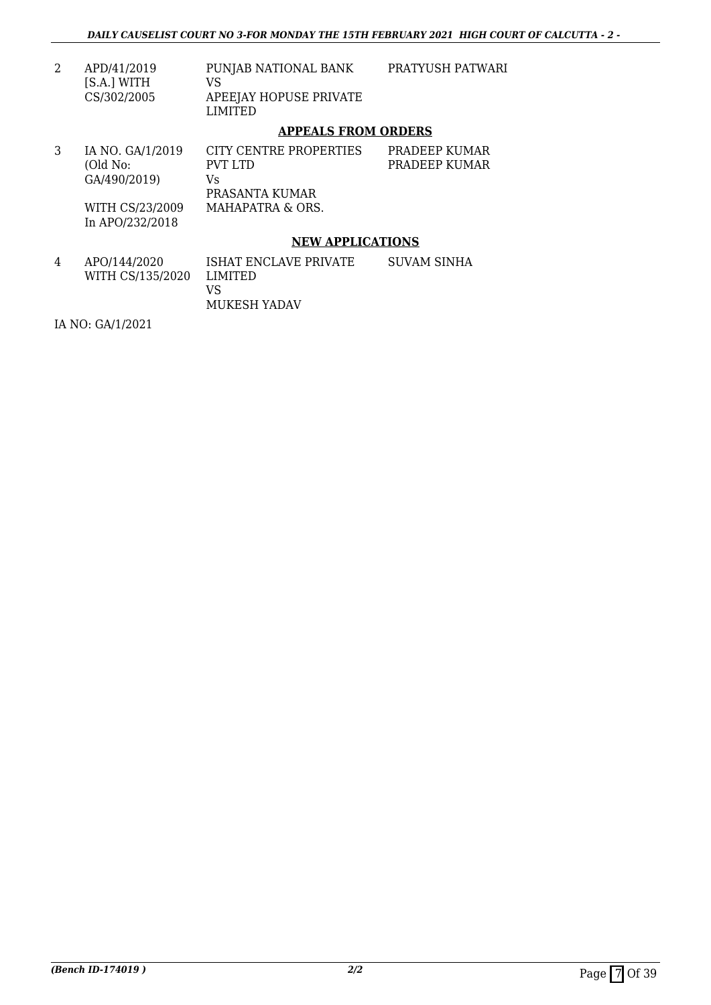| APD/41/2019<br>[S.A.] WITH<br>CS/302/2005 | PUNJAB NATIONAL BANK<br>VS<br>APEEJAY HOPUSE PRIVATE<br>LIMITED | PRATYUSH PATWARI |
|-------------------------------------------|-----------------------------------------------------------------|------------------|
|                                           | ADDEAI C FDAM ADDFDC                                            |                  |

### **APPEALS FROM ORDERS**

|   | IA NO. GA/1/2019<br>(Old No:<br>GA/490/2019)<br>WITH CS/23/2009<br>In APO/232/2018 | CITY CENTRE PROPERTIES<br>PVT LTD<br>Vs<br>PRASANTA KUMAR<br>MAHAPATRA & ORS. | PRADEEP KUMAR<br>PRADEEP KUMAR |
|---|------------------------------------------------------------------------------------|-------------------------------------------------------------------------------|--------------------------------|
|   |                                                                                    | <b>NEW APPLICATIONS</b>                                                       |                                |
| 4 | APO/144/2020                                                                       | ISHAT FNCI AVE PRIVATE                                                        | SUVAM SINHA                    |

4 APO/144/2020 WITH CS/135/2020 ISHAT ENCLAVE PRIVATE LIMITED VS MUKESH YADAV SUVAM SINHA

IA NO: GA/1/2021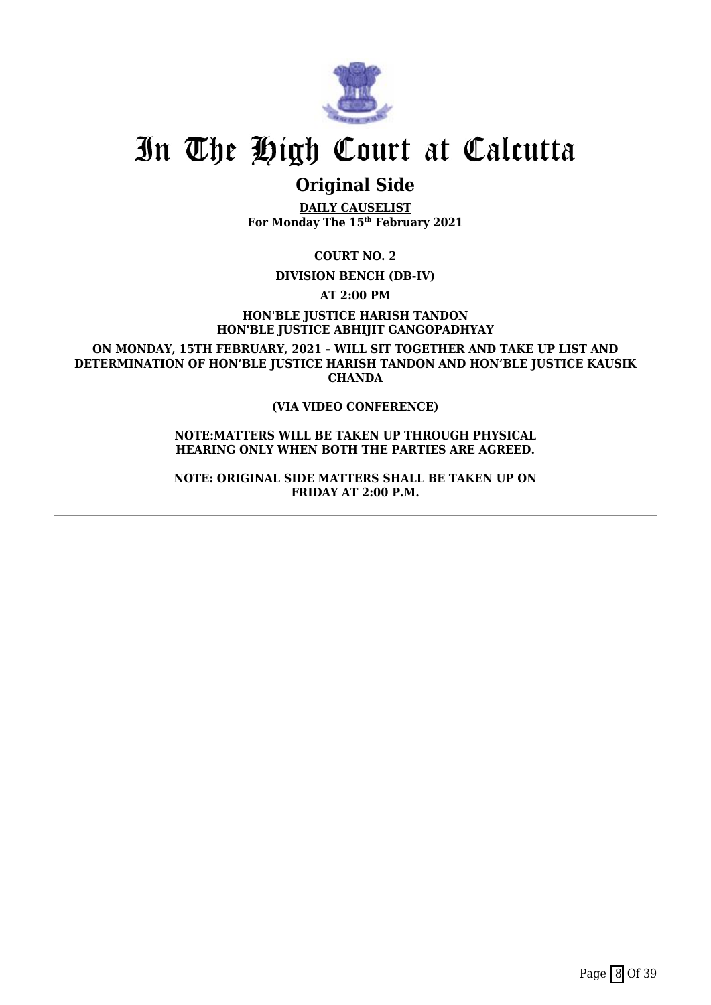

## **Original Side**

**DAILY CAUSELIST For Monday The 15th February 2021**

**COURT NO. 2**

**DIVISION BENCH (DB-IV)**

**AT 2:00 PM**

**HON'BLE JUSTICE HARISH TANDON HON'BLE JUSTICE ABHIJIT GANGOPADHYAY**

**ON MONDAY, 15TH FEBRUARY, 2021 – WILL SIT TOGETHER AND TAKE UP LIST AND DETERMINATION OF HON'BLE JUSTICE HARISH TANDON AND HON'BLE JUSTICE KAUSIK CHANDA**

### **(VIA VIDEO CONFERENCE)**

**NOTE:MATTERS WILL BE TAKEN UP THROUGH PHYSICAL HEARING ONLY WHEN BOTH THE PARTIES ARE AGREED.**

**NOTE: ORIGINAL SIDE MATTERS SHALL BE TAKEN UP ON FRIDAY AT 2:00 P.M.**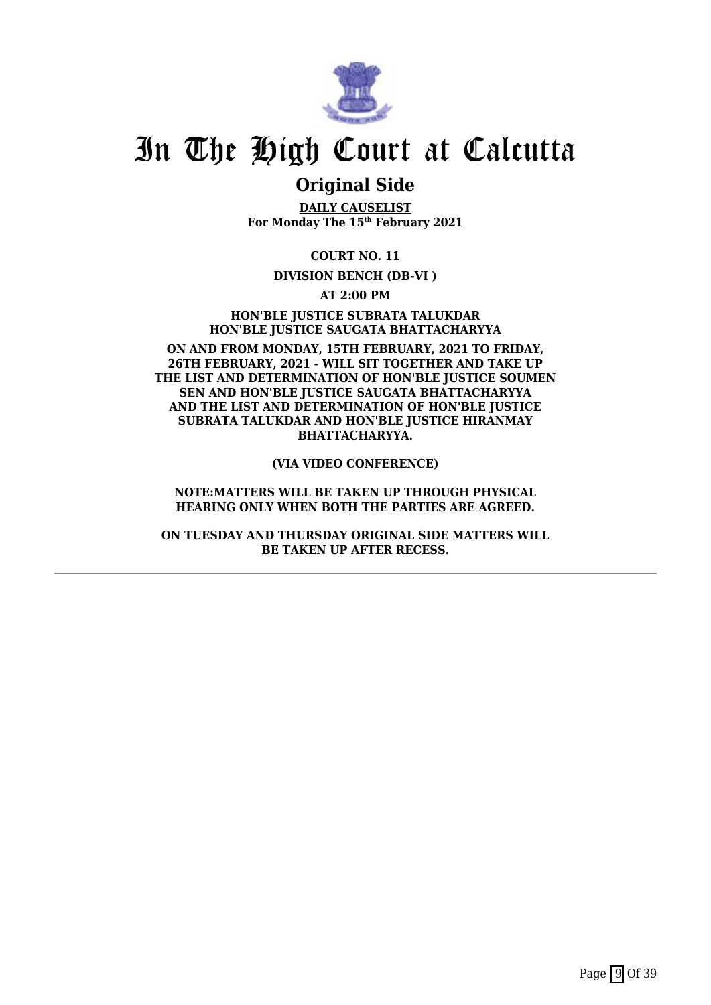

## **Original Side**

**DAILY CAUSELIST For Monday The 15th February 2021**

**COURT NO. 11**

### **DIVISION BENCH (DB-VI )**

**AT 2:00 PM**

**HON'BLE JUSTICE SUBRATA TALUKDAR HON'BLE JUSTICE SAUGATA BHATTACHARYYA**

**ON AND FROM MONDAY, 15TH FEBRUARY, 2021 TO FRIDAY, 26TH FEBRUARY, 2021 - WILL SIT TOGETHER AND TAKE UP THE LIST AND DETERMINATION OF HON'BLE JUSTICE SOUMEN SEN AND HON'BLE JUSTICE SAUGATA BHATTACHARYYA AND THE LIST AND DETERMINATION OF HON'BLE JUSTICE SUBRATA TALUKDAR AND HON'BLE JUSTICE HIRANMAY BHATTACHARYYA.**

**(VIA VIDEO CONFERENCE)**

**NOTE:MATTERS WILL BE TAKEN UP THROUGH PHYSICAL HEARING ONLY WHEN BOTH THE PARTIES ARE AGREED.**

**ON TUESDAY AND THURSDAY ORIGINAL SIDE MATTERS WILL BE TAKEN UP AFTER RECESS.**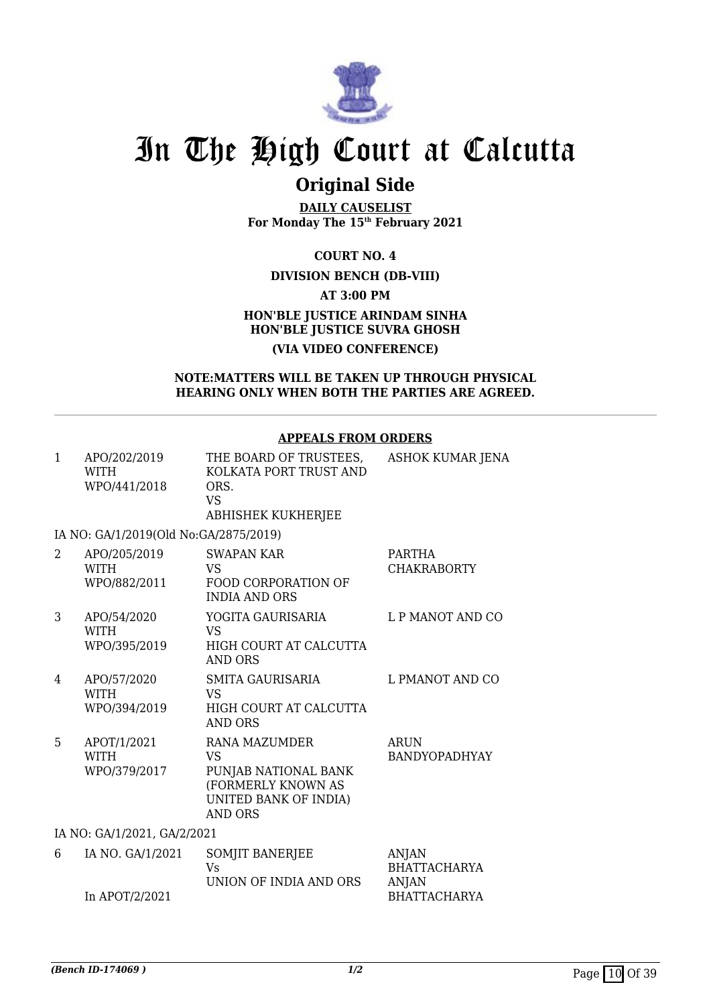

## **Original Side**

**DAILY CAUSELIST For Monday The 15th February 2021**

**COURT NO. 4**

### **DIVISION BENCH (DB-VIII)**

**AT 3:00 PM**

### **HON'BLE JUSTICE ARINDAM SINHA HON'BLE JUSTICE SUVRA GHOSH (VIA VIDEO CONFERENCE)**

### **NOTE:MATTERS WILL BE TAKEN UP THROUGH PHYSICAL HEARING ONLY WHEN BOTH THE PARTIES ARE AGREED.**

### **APPEALS FROM ORDERS**

| $\mathbf{1}$ | APO/202/2019<br><b>WITH</b><br>WPO/441/2018 | THE BOARD OF TRUSTEES,<br>KOLKATA PORT TRUST AND<br>ORS.<br><b>VS</b><br>ABHISHEK KUKHERJEE                                | ASHOK KUMAR JENA                                    |
|--------------|---------------------------------------------|----------------------------------------------------------------------------------------------------------------------------|-----------------------------------------------------|
|              | IA NO: GA/1/2019(Old No:GA/2875/2019)       |                                                                                                                            |                                                     |
| 2            | APO/205/2019<br><b>WITH</b><br>WPO/882/2011 | <b>SWAPAN KAR</b><br><b>VS</b><br><b>FOOD CORPORATION OF</b><br><b>INDIA AND ORS</b>                                       | <b>PARTHA</b><br><b>CHAKRABORTY</b>                 |
| 3            | APO/54/2020<br><b>WITH</b><br>WPO/395/2019  | YOGITA GAURISARIA<br><b>VS</b><br>HIGH COURT AT CALCUTTA<br><b>AND ORS</b>                                                 | L P MANOT AND CO                                    |
| 4            | APO/57/2020<br><b>WITH</b><br>WPO/394/2019  | <b>SMITA GAURISARIA</b><br><b>VS</b><br>HIGH COURT AT CALCUTTA<br><b>AND ORS</b>                                           | L PMANOT AND CO                                     |
| 5            | APOT/1/2021<br><b>WITH</b><br>WPO/379/2017  | RANA MAZUMDER<br><b>VS</b><br>PUNJAB NATIONAL BANK<br>(FORMERLY KNOWN AS<br><b>UNITED BANK OF INDIA)</b><br><b>AND ORS</b> | <b>ARUN</b><br><b>BANDYOPADHYAY</b>                 |
|              | IA NO: GA/1/2021, GA/2/2021                 |                                                                                                                            |                                                     |
| 6            | IA NO. GA/1/2021                            | SOMJIT BANERJEE<br>Vs<br>UNION OF INDIA AND ORS                                                                            | <b>ANJAN</b><br><b>BHATTACHARYA</b><br><b>ANJAN</b> |
|              | In APOT/2/2021                              |                                                                                                                            | <b>BHATTACHARYA</b>                                 |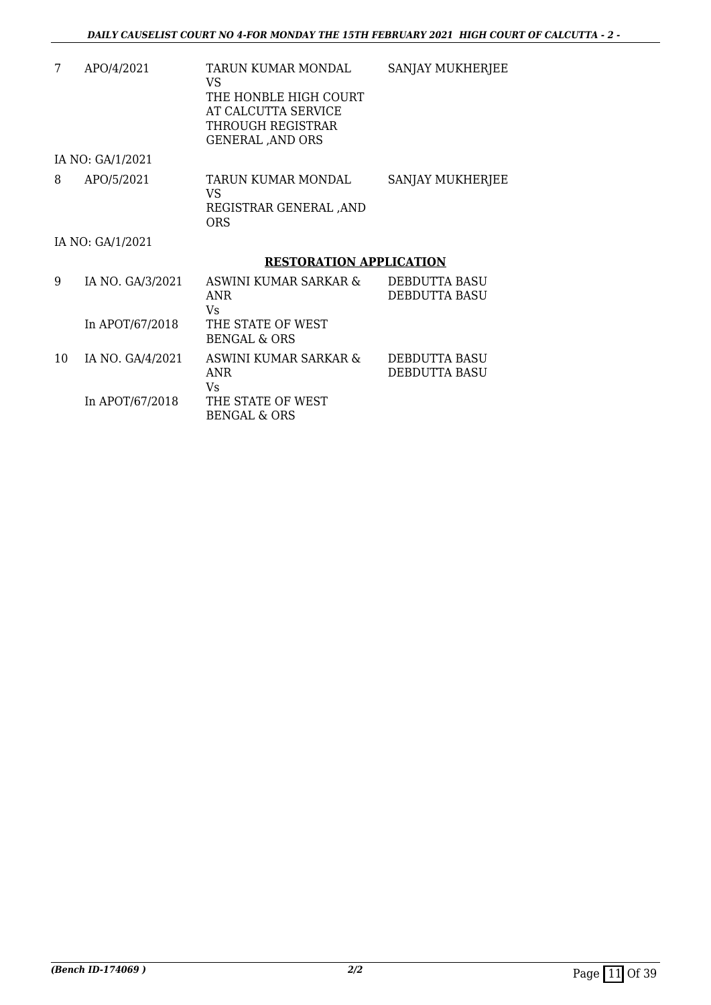| 7  | APO/4/2021       | TARUN KUMAR MONDAL<br>VS<br>THE HONBLE HIGH COURT<br>AT CALCUTTA SERVICE<br>THROUGH REGISTRAR<br><b>GENERAL, AND ORS</b> | SANJAY MUKHERJEE                             |
|----|------------------|--------------------------------------------------------------------------------------------------------------------------|----------------------------------------------|
|    | IA NO: GA/1/2021 |                                                                                                                          |                                              |
| 8  | APO/5/2021       | TARUN KUMAR MONDAL<br>VS.<br>REGISTRAR GENERAL ,AND<br>ORS                                                               | SANJAY MUKHERJEE                             |
|    | IA NO: GA/1/2021 |                                                                                                                          |                                              |
|    |                  | <b>RESTORATION APPLICATION</b>                                                                                           |                                              |
| 9  | IA NO. GA/3/2021 | ASWINI KUMAR SARKAR &<br>ANR<br>Vs.                                                                                      | <b>DEBDUTTA BASU</b><br><b>DEBDUTTA BASU</b> |
|    | In APOT/67/2018  | THE STATE OF WEST<br>BENGAL & ORS                                                                                        |                                              |
| 10 | IA NO. GA/4/2021 | ASWINI KUMAR SARKAR &<br>ANR<br>Vs.                                                                                      | DEBDUTTA BASU<br><b>DEBDUTTA BASU</b>        |
|    | In APOT/67/2018  | THE STATE OF WEST<br><b>BENGAL &amp; ORS</b>                                                                             |                                              |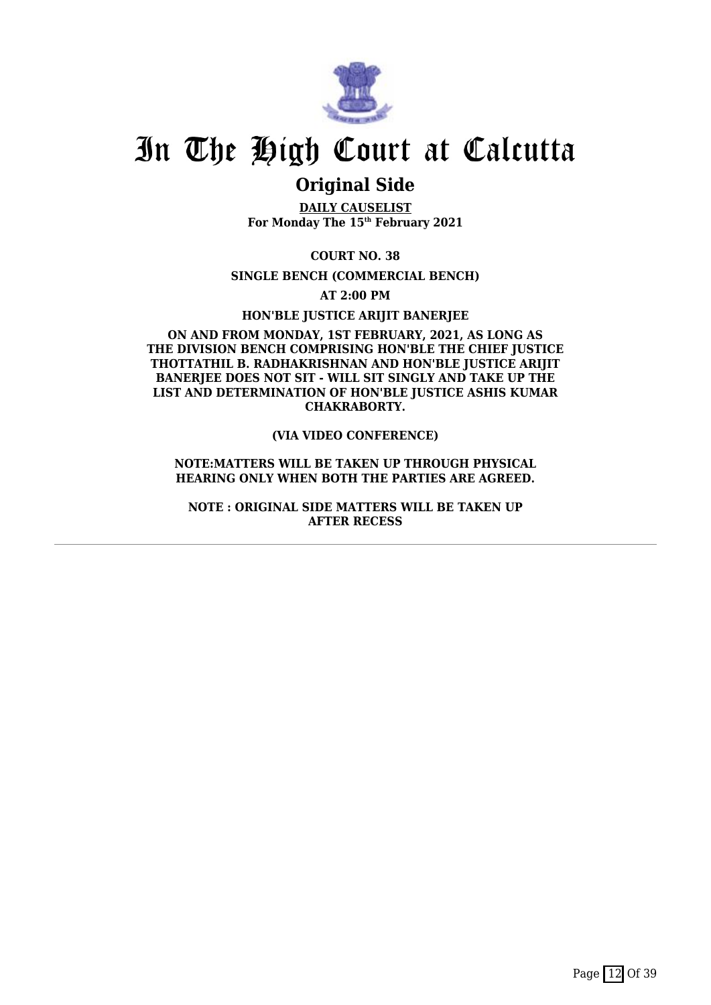

## **Original Side**

**DAILY CAUSELIST For Monday The 15th February 2021**

**COURT NO. 38**

**SINGLE BENCH (COMMERCIAL BENCH)**

**AT 2:00 PM**

**HON'BLE JUSTICE ARIJIT BANERJEE**

### **ON AND FROM MONDAY, 1ST FEBRUARY, 2021, AS LONG AS THE DIVISION BENCH COMPRISING HON'BLE THE CHIEF JUSTICE THOTTATHIL B. RADHAKRISHNAN AND HON'BLE JUSTICE ARIJIT** BANERIEE DOES NOT SIT - WILL SIT SINGLY AND TAKE UP THE **LIST AND DETERMINATION OF HON'BLE JUSTICE ASHIS KUMAR CHAKRABORTY.**

### **(VIA VIDEO CONFERENCE)**

### **NOTE:MATTERS WILL BE TAKEN UP THROUGH PHYSICAL HEARING ONLY WHEN BOTH THE PARTIES ARE AGREED.**

**NOTE : ORIGINAL SIDE MATTERS WILL BE TAKEN UP AFTER RECESS**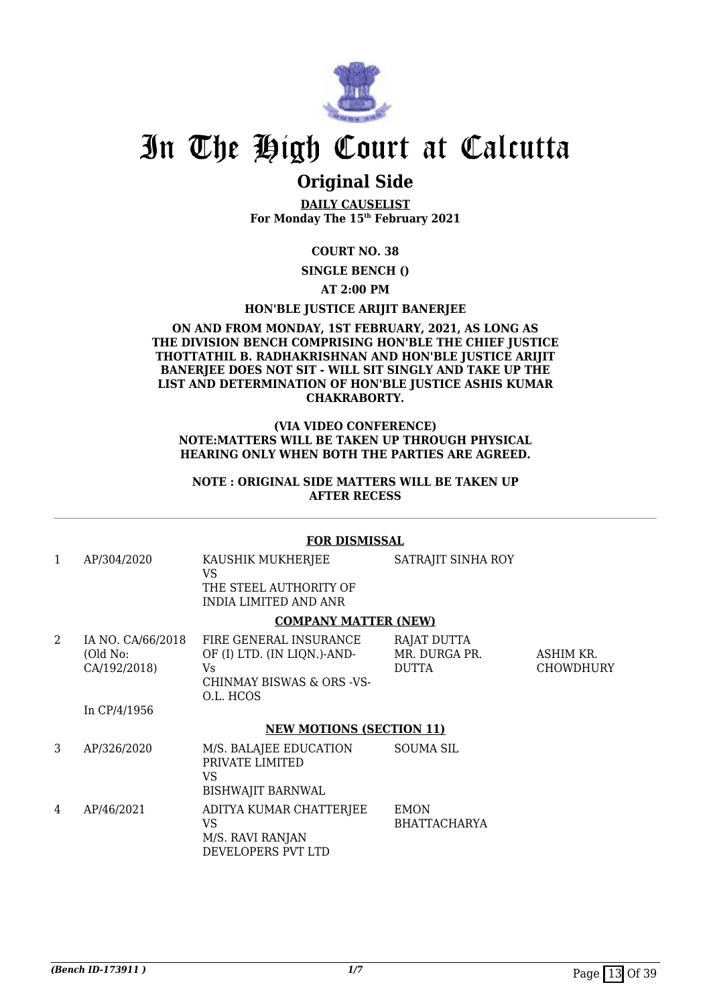

## **Original Side**

**DAILY CAUSELIST For Monday The 15th February 2021**

### **COURT NO. 38**

**SINGLE BENCH ()**

### **AT 2:00 PM**

### **HON'BLE JUSTICE ARIJIT BANERJEE**

### **ON AND FROM MONDAY, 1ST FEBRUARY, 2021, AS LONG AS THE DIVISION BENCH COMPRISING HON'BLE THE CHIEF JUSTICE THOTTATHIL B. RADHAKRISHNAN AND HON'BLE JUSTICE ARIJIT BANERJEE DOES NOT SIT - WILL SIT SINGLY AND TAKE UP THE LIST AND DETERMINATION OF HON'BLE JUSTICE ASHIS KUMAR CHAKRABORTY.**

### **(VIA VIDEO CONFERENCE) NOTE:MATTERS WILL BE TAKEN UP THROUGH PHYSICAL HEARING ONLY WHEN BOTH THE PARTIES ARE AGREED.**

### **NOTE : ORIGINAL SIDE MATTERS WILL BE TAKEN UP AFTER RECESS**

### **FOR DISMISSAL**

| 1 | AP/304/2020                                   | KAUSHIK MUKHERJEE<br>VS                                                                               | SATRAJIT SINHA ROY                           |                               |
|---|-----------------------------------------------|-------------------------------------------------------------------------------------------------------|----------------------------------------------|-------------------------------|
|   |                                               | THE STEEL AUTHORITY OF<br><b>INDIA LIMITED AND ANR</b>                                                |                                              |                               |
|   |                                               | <b>COMPANY MATTER (NEW)</b>                                                                           |                                              |                               |
| 2 | IA NO. CA/66/2018<br>(Old No:<br>CA/192/2018) | FIRE GENERAL INSURANCE<br>OF (I) LTD. (IN LIQN.)-AND-<br>Vs<br>CHINMAY BISWAS & ORS -VS-<br>O.L. HCOS | RAJAT DUTTA<br>MR. DURGA PR.<br><b>DUTTA</b> | ASHIM KR.<br><b>CHOWDHURY</b> |
|   | In CP/4/1956                                  |                                                                                                       |                                              |                               |
|   |                                               | <b>NEW MOTIONS (SECTION 11)</b>                                                                       |                                              |                               |
| 3 | AP/326/2020                                   | M/S. BALAJEE EDUCATION<br>PRIVATE LIMITED<br>VS<br><b>BISHWAJIT BARNWAL</b>                           | <b>SOUMA SIL</b>                             |                               |
| 4 | AP/46/2021                                    | ADITYA KUMAR CHATTERJEE<br>VS<br>M/S. RAVI RANJAN<br>DEVELOPERS PVT LTD                               | <b>EMON</b><br><b>BHATTACHARYA</b>           |                               |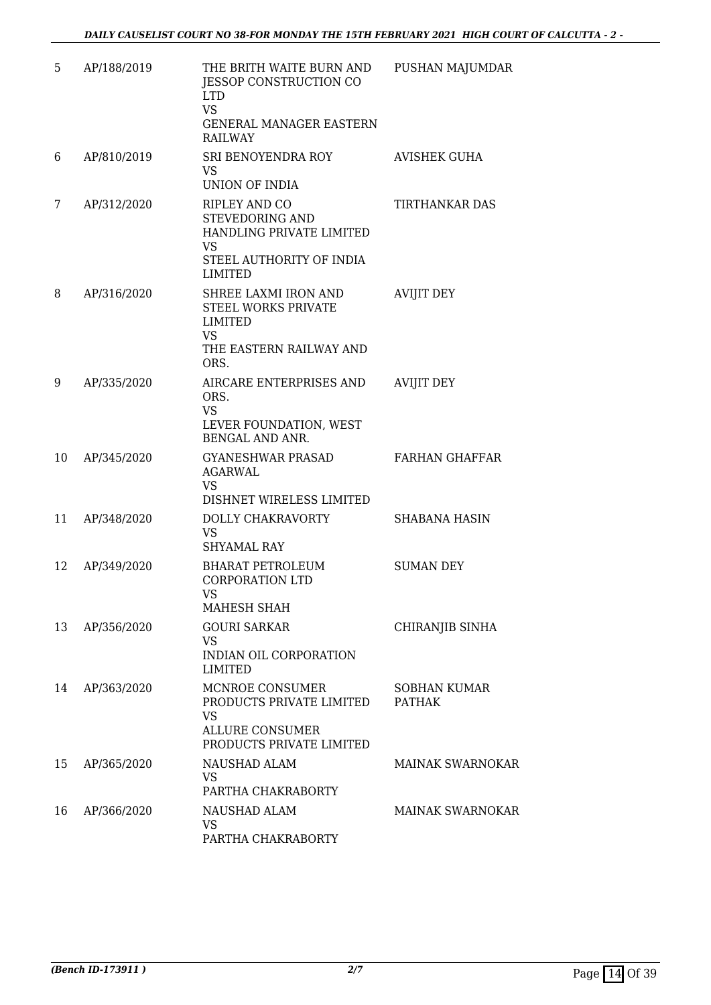| 5  | AP/188/2019 | THE BRITH WAITE BURN AND<br>JESSOP CONSTRUCTION CO<br><b>LTD</b><br><b>VS</b><br>GENERAL MANAGER EASTERN<br><b>RAILWAY</b>                                                                                                                                                                         | PUSHAN MAJUMDAR                      |
|----|-------------|----------------------------------------------------------------------------------------------------------------------------------------------------------------------------------------------------------------------------------------------------------------------------------------------------|--------------------------------------|
| 6  | AP/810/2019 | SRI BENOYENDRA ROY<br>VS.<br>UNION OF INDIA                                                                                                                                                                                                                                                        | AVISHEK GUHA                         |
| 7  | AP/312/2020 | <b>RIPLEY AND CO</b><br>STEVEDORING AND<br>HANDLING PRIVATE LIMITED<br><b>VS</b><br>STEEL AUTHORITY OF INDIA<br><b>LIMITED</b>                                                                                                                                                                     | TIRTHANKAR DAS                       |
| 8  | AP/316/2020 | SHREE LAXMI IRON AND<br>STEEL WORKS PRIVATE<br>LIMITED<br><b>VS</b><br>THE EASTERN RAILWAY AND<br>ORS.                                                                                                                                                                                             | <b>AVIJIT DEY</b>                    |
| 9  | AP/335/2020 | AIRCARE ENTERPRISES AND<br>ORS.<br><b>VS</b><br>LEVER FOUNDATION, WEST<br>BENGAL AND ANR.                                                                                                                                                                                                          | <b>AVIJIT DEY</b>                    |
| 10 | AP/345/2020 | <b>GYANESHWAR PRASAD</b><br>AGARWAL<br><b>VS</b><br>DISHNET WIRELESS LIMITED                                                                                                                                                                                                                       | <b>FARHAN GHAFFAR</b>                |
| 11 | AP/348/2020 | DOLLY CHAKRAVORTY<br><b>VS</b><br><b>SHYAMAL RAY</b>                                                                                                                                                                                                                                               | <b>SHABANA HASIN</b>                 |
| 12 | AP/349/2020 | <b>BHARAT PETROLEUM</b><br><b>CORPORATION LTD</b><br>VS and the vertex of the vertex of the vertex of the vertex of the vertex of the vertex of the vertex of the vertex of the vertex of the vertex of the vertex of the vertex of the vertex of the vertex of the vertex of the v<br>MAHESH SHAH | <b>SUMAN DEY</b>                     |
| 13 | AP/356/2020 | <b>GOURI SARKAR</b><br>VS.<br>INDIAN OIL CORPORATION<br>LIMITED                                                                                                                                                                                                                                    | CHIRANJIB SINHA                      |
| 14 | AP/363/2020 | MCNROE CONSUMER<br>PRODUCTS PRIVATE LIMITED<br><b>VS</b><br><b>ALLURE CONSUMER</b><br>PRODUCTS PRIVATE LIMITED                                                                                                                                                                                     | <b>SOBHAN KUMAR</b><br><b>PATHAK</b> |
| 15 | AP/365/2020 | NAUSHAD ALAM<br>VS.<br>PARTHA CHAKRABORTY                                                                                                                                                                                                                                                          | <b>MAINAK SWARNOKAR</b>              |
| 16 | AP/366/2020 | NAUSHAD ALAM<br>VS<br>PARTHA CHAKRABORTY                                                                                                                                                                                                                                                           | <b>MAINAK SWARNOKAR</b>              |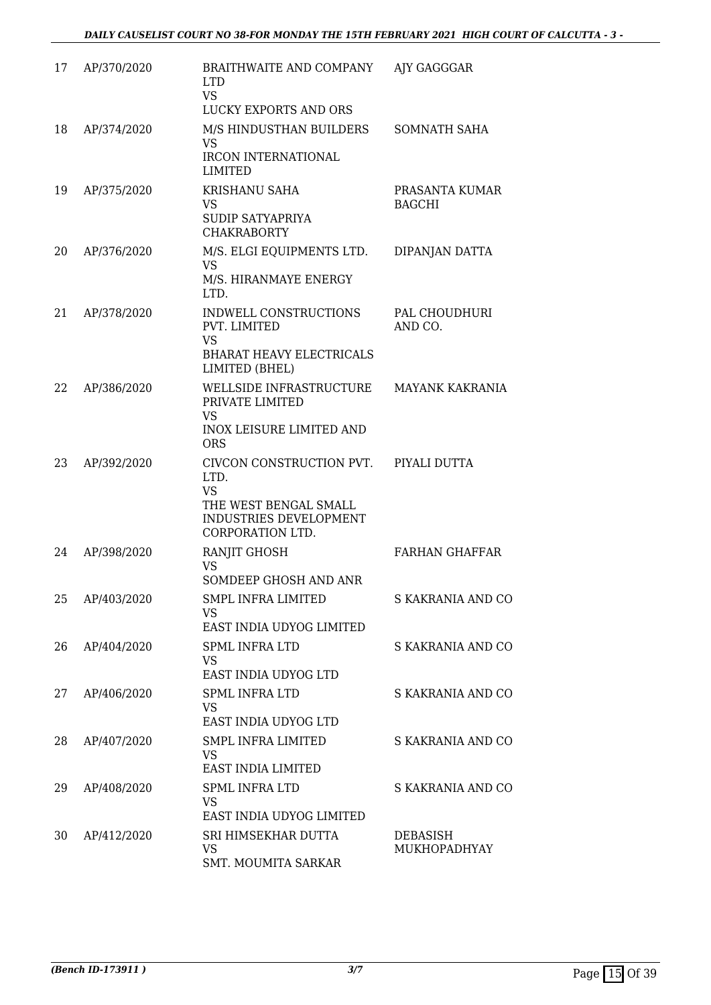| 17 | AP/370/2020 | BRAITHWAITE AND COMPANY<br><b>LTD</b><br><b>VS</b>                                                             | AJY GAGGGAR                     |
|----|-------------|----------------------------------------------------------------------------------------------------------------|---------------------------------|
|    |             | LUCKY EXPORTS AND ORS                                                                                          |                                 |
| 18 | AP/374/2020 | M/S HINDUSTHAN BUILDERS<br>VS.<br><b>IRCON INTERNATIONAL</b><br><b>LIMITED</b>                                 | <b>SOMNATH SAHA</b>             |
| 19 | AP/375/2020 | KRISHANU SAHA<br>VS.<br>SUDIP SATYAPRIYA<br><b>CHAKRABORTY</b>                                                 | PRASANTA KUMAR<br><b>BAGCHI</b> |
| 20 | AP/376/2020 | M/S. ELGI EQUIPMENTS LTD.<br>VS<br>M/S. HIRANMAYE ENERGY<br>LTD.                                               | DIPANJAN DATTA                  |
| 21 | AP/378/2020 | INDWELL CONSTRUCTIONS<br>PVT. LIMITED<br>VS<br><b>BHARAT HEAVY ELECTRICALS</b><br>LIMITED (BHEL)               | PAL CHOUDHURI<br>AND CO.        |
| 22 | AP/386/2020 | WELLSIDE INFRASTRUCTURE<br>PRIVATE LIMITED<br>VS.<br><b>INOX LEISURE LIMITED AND</b><br><b>ORS</b>             | <b>MAYANK KAKRANIA</b>          |
| 23 | AP/392/2020 | CIVCON CONSTRUCTION PVT.<br>LTD.<br>VS.<br>THE WEST BENGAL SMALL<br>INDUSTRIES DEVELOPMENT<br>CORPORATION LTD. | PIYALI DUTTA                    |
| 24 | AP/398/2020 | RANJIT GHOSH<br>VS<br>SOMDEEP GHOSH AND ANR                                                                    | <b>FARHAN GHAFFAR</b>           |
| 25 | AP/403/2020 | SMPL INFRA LIMITED<br>VS.<br>EAST INDIA UDYOG LIMITED                                                          | S KAKRANIA AND CO               |
| 26 | AP/404/2020 | SPML INFRA LTD<br>VS.<br>EAST INDIA UDYOG LTD                                                                  | S KAKRANIA AND CO               |
| 27 | AP/406/2020 | <b>SPML INFRA LTD</b><br>VS<br>EAST INDIA UDYOG LTD                                                            | S KAKRANIA AND CO               |
| 28 | AP/407/2020 | SMPL INFRA LIMITED<br>VS.<br>EAST INDIA LIMITED                                                                | S KAKRANIA AND CO               |
| 29 | AP/408/2020 | <b>SPML INFRA LTD</b><br>VS.<br>EAST INDIA UDYOG LIMITED                                                       | S KAKRANIA AND CO               |
| 30 | AP/412/2020 | SRI HIMSEKHAR DUTTA<br>VS<br>SMT. MOUMITA SARKAR                                                               | DEBASISH<br>MUKHOPADHYAY        |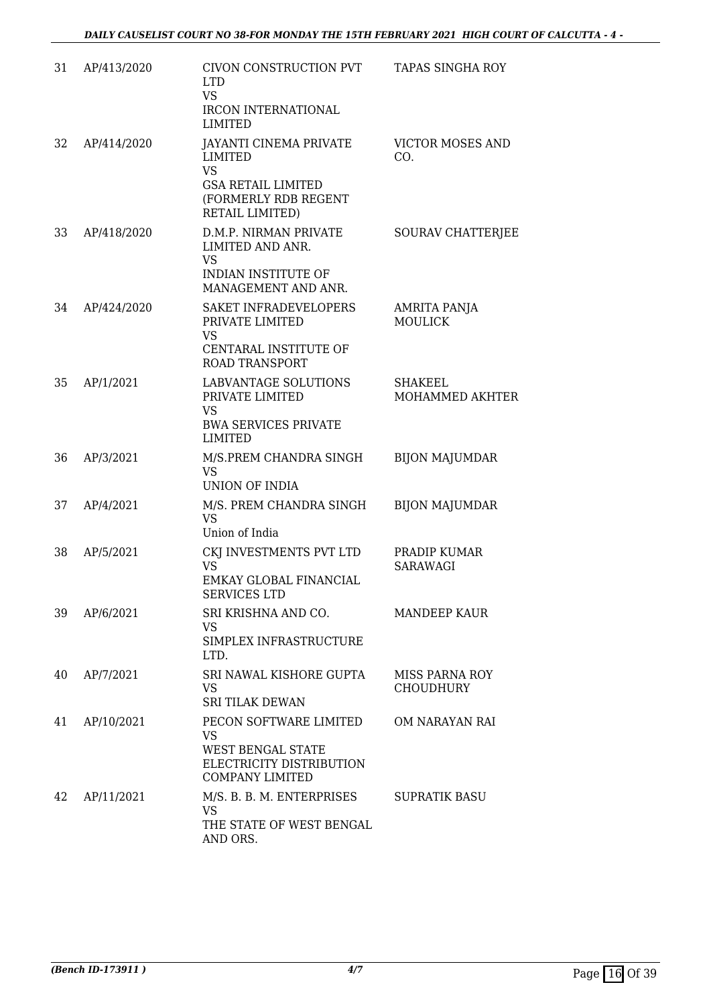| 31 | AP/413/2020 | CIVON CONSTRUCTION PVT<br><b>LTD</b><br><b>VS</b><br><b>IRCON INTERNATIONAL</b><br>LIMITED                             | <b>TAPAS SINGHA ROY</b>            |
|----|-------------|------------------------------------------------------------------------------------------------------------------------|------------------------------------|
| 32 | AP/414/2020 | JAYANTI CINEMA PRIVATE<br>LIMITED<br><b>VS</b><br><b>GSA RETAIL LIMITED</b><br>(FORMERLY RDB REGENT<br>RETAIL LIMITED) | <b>VICTOR MOSES AND</b><br>CO.     |
| 33 | AP/418/2020 | D.M.P. NIRMAN PRIVATE<br>LIMITED AND ANR.<br><b>VS</b><br><b>INDIAN INSTITUTE OF</b><br>MANAGEMENT AND ANR.            | SOURAV CHATTERJEE                  |
| 34 | AP/424/2020 | <b>SAKET INFRADEVELOPERS</b><br>PRIVATE LIMITED<br>VS<br>CENTARAL INSTITUTE OF<br><b>ROAD TRANSPORT</b>                | AMRITA PANJA<br><b>MOULICK</b>     |
| 35 | AP/1/2021   | <b>LABVANTAGE SOLUTIONS</b><br>PRIVATE LIMITED<br><b>VS</b><br><b>BWA SERVICES PRIVATE</b><br><b>LIMITED</b>           | <b>SHAKEEL</b><br>MOHAMMED AKHTER  |
| 36 | AP/3/2021   | M/S.PREM CHANDRA SINGH<br><b>VS</b><br>UNION OF INDIA                                                                  | <b>BIJON MAJUMDAR</b>              |
| 37 | AP/4/2021   | M/S. PREM CHANDRA SINGH<br><b>VS</b><br>Union of India                                                                 | <b>BIJON MAJUMDAR</b>              |
| 38 | AP/5/2021   | CKJ INVESTMENTS PVT LTD<br>VS<br>EMKAY GLOBAL FINANCIAL<br>SERVICES LTD                                                | PRADIP KUMAR<br><b>SARAWAGI</b>    |
| 39 | AP/6/2021   | SRI KRISHNA AND CO.<br><b>VS</b><br>SIMPLEX INFRASTRUCTURE<br>LTD.                                                     | <b>MANDEEP KAUR</b>                |
| 40 | AP/7/2021   | SRI NAWAL KISHORE GUPTA<br>VS<br><b>SRI TILAK DEWAN</b>                                                                | MISS PARNA ROY<br><b>CHOUDHURY</b> |
| 41 | AP/10/2021  | PECON SOFTWARE LIMITED<br>VS.<br>WEST BENGAL STATE<br>ELECTRICITY DISTRIBUTION<br><b>COMPANY LIMITED</b>               | OM NARAYAN RAI                     |
| 42 | AP/11/2021  | M/S. B. B. M. ENTERPRISES<br><b>VS</b><br>THE STATE OF WEST BENGAL<br>AND ORS.                                         | <b>SUPRATIK BASU</b>               |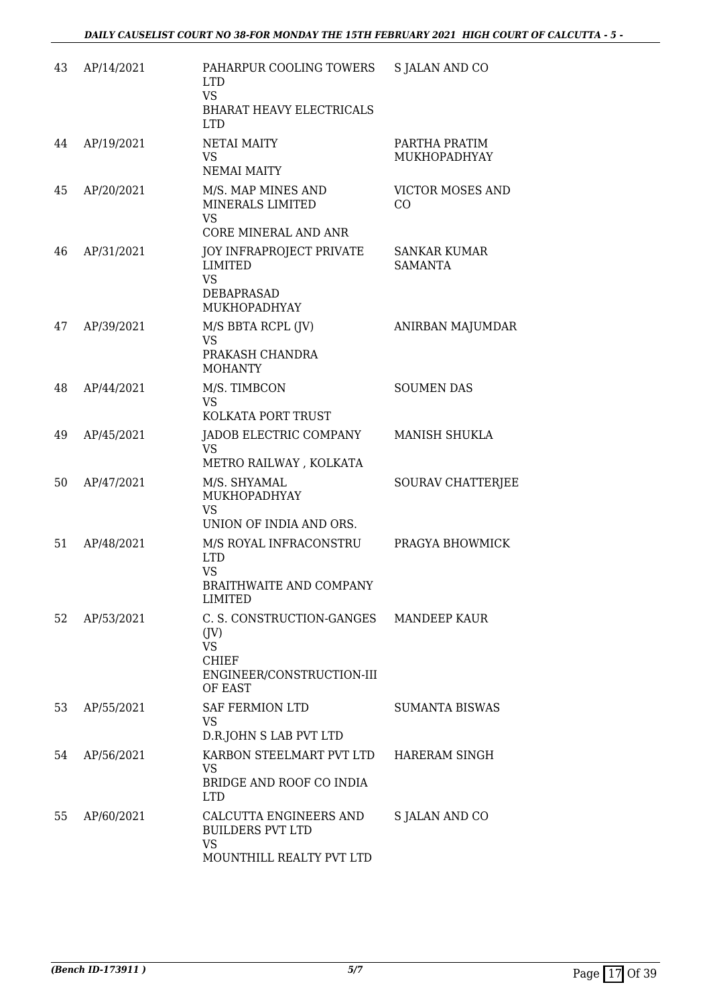| 43 | AP/14/2021 | PAHARPUR COOLING TOWERS<br><b>LTD</b><br><b>VS</b><br><b>BHARAT HEAVY ELECTRICALS</b><br><b>LTD</b>                       | S JALAN AND CO                        |
|----|------------|---------------------------------------------------------------------------------------------------------------------------|---------------------------------------|
| 44 | AP/19/2021 | NETAI MAITY<br>VS.<br><b>NEMAI MAITY</b>                                                                                  | PARTHA PRATIM<br>MUKHOPADHYAY         |
| 45 | AP/20/2021 | M/S. MAP MINES AND<br>MINERALS LIMITED<br><b>VS</b><br><b>CORE MINERAL AND ANR</b>                                        | <b>VICTOR MOSES AND</b><br>CO         |
| 46 | AP/31/2021 | <b>JOY INFRAPROJECT PRIVATE</b><br><b>LIMITED</b><br><b>VS</b><br><b>DEBAPRASAD</b><br>MUKHOPADHYAY                       | <b>SANKAR KUMAR</b><br><b>SAMANTA</b> |
| 47 | AP/39/2021 | M/S BBTA RCPL (JV)<br><b>VS</b><br>PRAKASH CHANDRA<br><b>MOHANTY</b>                                                      | ANIRBAN MAJUMDAR                      |
| 48 | AP/44/2021 | M/S. TIMBCON<br><b>VS</b><br>KOLKATA PORT TRUST                                                                           | <b>SOUMEN DAS</b>                     |
| 49 | AP/45/2021 | JADOB ELECTRIC COMPANY<br><b>VS</b><br>METRO RAILWAY, KOLKATA                                                             | MANISH SHUKLA                         |
| 50 | AP/47/2021 | M/S. SHYAMAL<br>MUKHOPADHYAY<br><b>VS</b><br>UNION OF INDIA AND ORS.                                                      | SOURAV CHATTERJEE                     |
| 51 | AP/48/2021 | M/S ROYAL INFRACONSTRU<br><b>LTD</b><br><b>VS</b><br>BRAITHWAITE AND COMPANY<br><b>LIMITED</b>                            | PRAGYA BHOWMICK                       |
| 52 | AP/53/2021 | C. S. CONSTRUCTION-GANGES MANDEEP KAUR<br>$($ JV $)$<br><b>VS</b><br><b>CHIEF</b><br>ENGINEER/CONSTRUCTION-III<br>OF EAST |                                       |
| 53 | AP/55/2021 | <b>SAF FERMION LTD</b><br>VS<br>D.R.JOHN S LAB PVT LTD                                                                    | <b>SUMANTA BISWAS</b>                 |
| 54 | AP/56/2021 | KARBON STEELMART PVT LTD<br>VS<br>BRIDGE AND ROOF CO INDIA<br><b>LTD</b>                                                  | <b>HARERAM SINGH</b>                  |
| 55 | AP/60/2021 | CALCUTTA ENGINEERS AND<br><b>BUILDERS PVT LTD</b><br><b>VS</b><br>MOUNTHILL REALTY PVT LTD                                | S JALAN AND CO                        |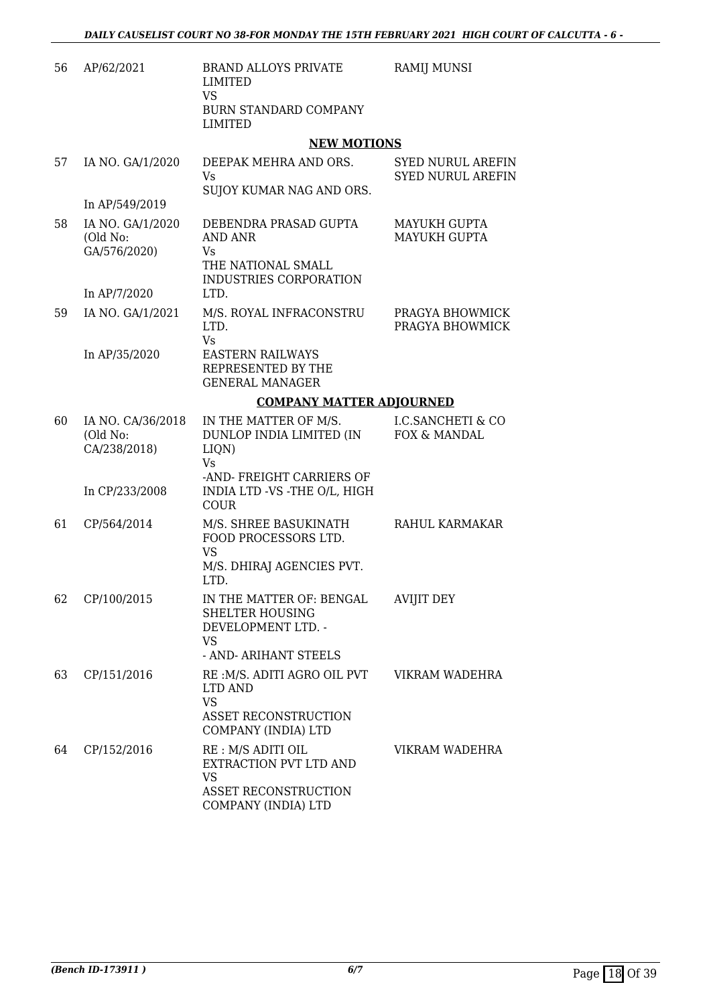| 56 | AP/62/2021                                    | <b>BRAND ALLOYS PRIVATE</b><br>LIMITED<br><b>VS</b>                                                                 | RAMIJ MUNSI                                          |
|----|-----------------------------------------------|---------------------------------------------------------------------------------------------------------------------|------------------------------------------------------|
|    |                                               | <b>BURN STANDARD COMPANY</b><br><b>LIMITED</b>                                                                      |                                                      |
|    |                                               | <b>NEW MOTIONS</b>                                                                                                  |                                                      |
| 57 | IA NO. GA/1/2020                              | DEEPAK MEHRA AND ORS.<br>Vs.<br>SUJOY KUMAR NAG AND ORS.                                                            | <b>SYED NURUL AREFIN</b><br><b>SYED NURUL AREFIN</b> |
|    | In AP/549/2019                                |                                                                                                                     |                                                      |
| 58 | IA NO. GA/1/2020<br>(Old No:<br>GA/576/2020)  | DEBENDRA PRASAD GUPTA<br>AND ANR<br>Vs<br>THE NATIONAL SMALL<br>INDUSTRIES CORPORATION                              | <b>MAYUKH GUPTA</b><br><b>MAYUKH GUPTA</b>           |
|    | In AP/7/2020                                  | LTD.                                                                                                                |                                                      |
| 59 | IA NO. GA/1/2021                              | M/S. ROYAL INFRACONSTRU<br>LTD.<br>Vs                                                                               | PRAGYA BHOWMICK<br>PRAGYA BHOWMICK                   |
|    | In AP/35/2020                                 | <b>EASTERN RAILWAYS</b><br>REPRESENTED BY THE<br><b>GENERAL MANAGER</b>                                             |                                                      |
|    |                                               | <b>COMPANY MATTER ADJOURNED</b>                                                                                     |                                                      |
| 60 | IA NO. CA/36/2018<br>(Old No:<br>CA/238/2018) | IN THE MATTER OF M/S.<br>DUNLOP INDIA LIMITED (IN<br>LIQN)<br>Vs                                                    | <b>I.C.SANCHETI &amp; CO</b><br>FOX & MANDAL         |
|    | In CP/233/2008                                | -AND-FREIGHT CARRIERS OF<br>INDIA LTD -VS -THE O/L, HIGH<br><b>COUR</b>                                             |                                                      |
| 61 | CP/564/2014                                   | M/S. SHREE BASUKINATH<br>FOOD PROCESSORS LTD.<br><b>VS</b><br>M/S. DHIRAJ AGENCIES PVT.<br>LTD.                     | RAHUL KARMAKAR                                       |
|    | 62 CP/100/2015                                | IN THE MATTER OF: BENGAL AVIJIT DEY<br><b>SHELTER HOUSING</b><br>DEVELOPMENT LTD. -<br>VS.<br>- AND- ARIHANT STEELS |                                                      |
|    |                                               |                                                                                                                     |                                                      |
| 63 | CP/151/2016                                   | RE: M/S. ADITI AGRO OIL PVT<br>LTD AND<br><b>VS</b><br>ASSET RECONSTRUCTION                                         | VIKRAM WADEHRA                                       |
|    |                                               | COMPANY (INDIA) LTD                                                                                                 |                                                      |
| 64 | CP/152/2016                                   | RE: M/S ADITI OIL<br>EXTRACTION PVT LTD AND<br><b>VS</b><br>ASSET RECONSTRUCTION<br>COMPANY (INDIA) LTD             | VIKRAM WADEHRA                                       |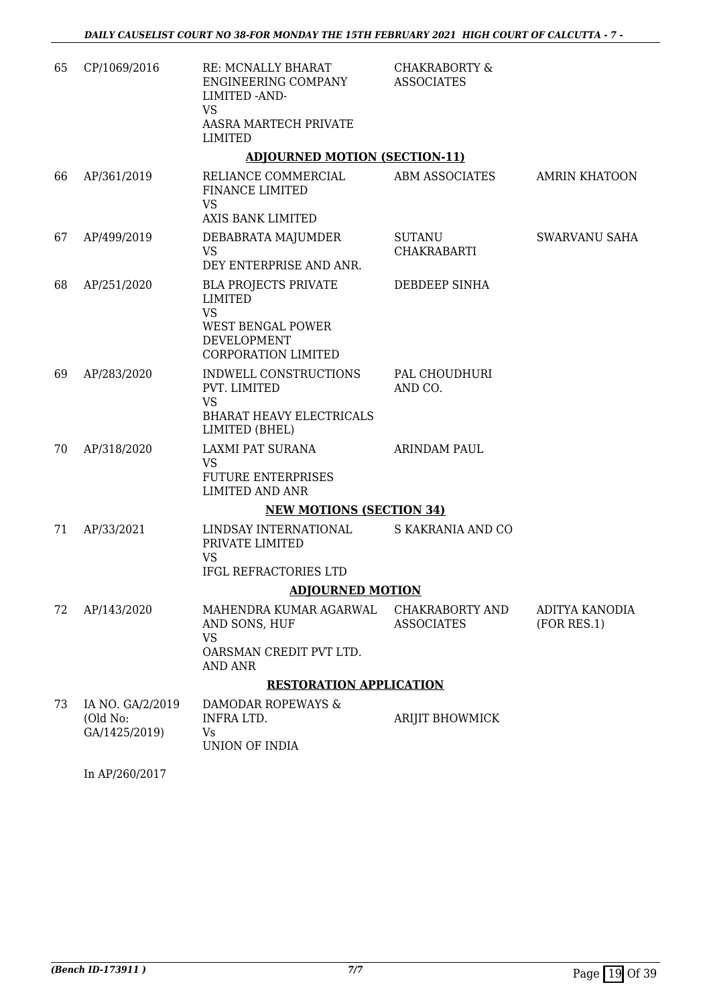| 65 | CP/1069/2016              | RE: MCNALLY BHARAT<br>ENGINEERING COMPANY<br>LIMITED - AND-<br>VS<br>AASRA MARTECH PRIVATE<br>LIMITED                 | <b>CHAKRABORTY &amp;</b><br><b>ASSOCIATES</b> |                               |
|----|---------------------------|-----------------------------------------------------------------------------------------------------------------------|-----------------------------------------------|-------------------------------|
|    |                           | <b>ADJOURNED MOTION (SECTION-11)</b>                                                                                  |                                               |                               |
| 66 | AP/361/2019               | RELIANCE COMMERCIAL<br><b>FINANCE LIMITED</b><br><b>VS</b>                                                            | ABM ASSOCIATES                                | <b>AMRIN KHATOON</b>          |
|    |                           | AXIS BANK LIMITED                                                                                                     |                                               |                               |
| 67 | AP/499/2019               | DEBABRATA MAJUMDER<br><b>VS</b><br>DEY ENTERPRISE AND ANR.                                                            | SUTANU<br><b>CHAKRABARTI</b>                  | SWARVANU SAHA                 |
| 68 | AP/251/2020               | <b>BLA PROJECTS PRIVATE</b><br>LIMITED<br><b>VS</b><br><b>WEST BENGAL POWER</b><br>DEVELOPMENT<br>CORPORATION LIMITED | DEBDEEP SINHA                                 |                               |
| 69 | AP/283/2020               | INDWELL CONSTRUCTIONS<br>PVT. LIMITED<br><b>VS</b><br><b>BHARAT HEAVY ELECTRICALS</b><br>LIMITED (BHEL)               | PAL CHOUDHURI<br>AND CO.                      |                               |
| 70 | AP/318/2020               | LAXMI PAT SURANA<br><b>VS</b><br><b>FUTURE ENTERPRISES</b><br><b>LIMITED AND ANR</b>                                  | <b>ARINDAM PAUL</b>                           |                               |
|    |                           | <b>NEW MOTIONS (SECTION 34)</b>                                                                                       |                                               |                               |
| 71 | AP/33/2021                | LINDSAY INTERNATIONAL<br>PRIVATE LIMITED<br><b>VS</b>                                                                 | S KAKRANIA AND CO                             |                               |
|    |                           | IFGL REFRACTORIES LTD                                                                                                 |                                               |                               |
|    |                           | <b>ADJOURNED MOTION</b>                                                                                               |                                               |                               |
| 72 | AP/143/2020               | MAHENDRA KUMAR AGARWAL<br>AND SONS, HUF<br>VS<br>OARSMAN CREDIT PVT LTD.                                              | <b>CHAKRABORTY AND</b><br><b>ASSOCIATES</b>   | ADITYA KANODIA<br>(FOR RES.1) |
|    |                           | AND ANR                                                                                                               |                                               |                               |
| 73 | IA NO. GA/2/2019          | <b>RESTORATION APPLICATION</b><br>DAMODAR ROPEWAYS &                                                                  |                                               |                               |
|    | (Old No:<br>GA/1425/2019) | INFRA LTD.<br>Vs<br>UNION OF INDIA                                                                                    | <b>ARIJIT BHOWMICK</b>                        |                               |

In AP/260/2017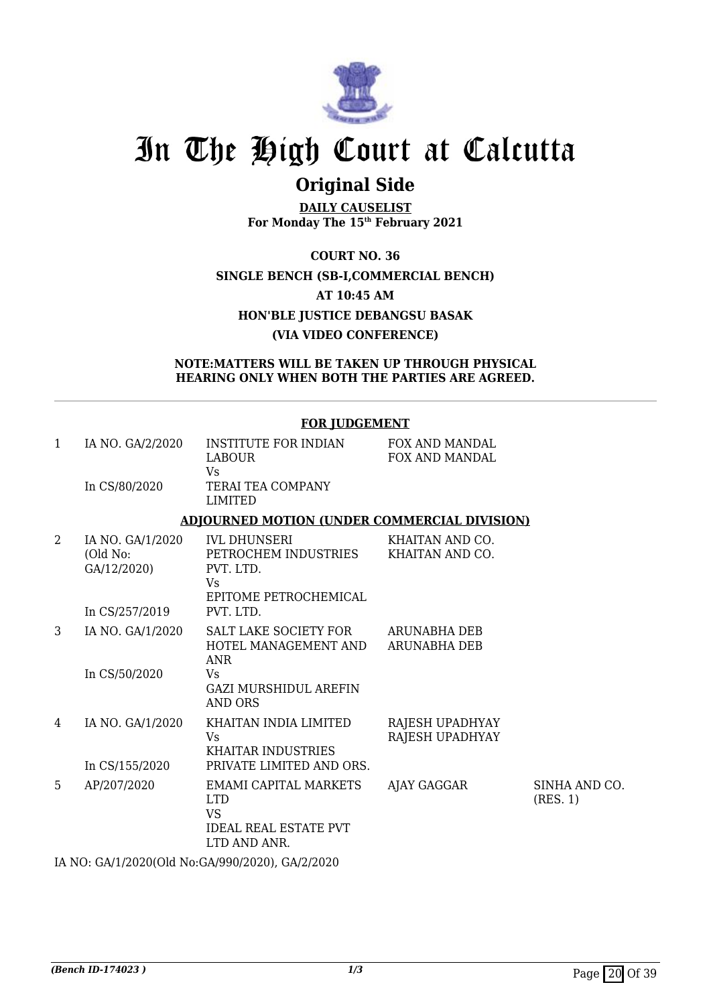

## **Original Side**

**DAILY CAUSELIST For Monday The 15th February 2021**

**COURT NO. 36 SINGLE BENCH (SB-I,COMMERCIAL BENCH) AT 10:45 AM HON'BLE JUSTICE DEBANGSU BASAK (VIA VIDEO CONFERENCE)**

### **NOTE:MATTERS WILL BE TAKEN UP THROUGH PHYSICAL HEARING ONLY WHEN BOTH THE PARTIES ARE AGREED.**

|                | <b>FOR JUDGEMENT</b>                        |                                                                                                                                               |                                    |                           |  |  |
|----------------|---------------------------------------------|-----------------------------------------------------------------------------------------------------------------------------------------------|------------------------------------|---------------------------|--|--|
| $\mathbf{1}$   | IA NO. GA/2/2020<br>In CS/80/2020           | <b>INSTITUTE FOR INDIAN</b><br><b>LABOUR</b><br><b>Vs</b><br>TERAI TEA COMPANY<br><b>LIMITED</b>                                              | FOX AND MANDAL<br>FOX AND MANDAL   |                           |  |  |
|                |                                             | <b>ADJOURNED MOTION (UNDER COMMERCIAL DIVISION)</b>                                                                                           |                                    |                           |  |  |
| $\overline{2}$ | IA NO. GA/1/2020<br>(Old No:<br>GA/12/2020) | <b>IVL DHUNSERI</b><br>PETROCHEM INDUSTRIES<br>PVT. LTD.<br>Vs<br>EPITOME PETROCHEMICAL                                                       | KHAITAN AND CO.<br>KHAITAN AND CO. |                           |  |  |
|                | In CS/257/2019                              | PVT. LTD.                                                                                                                                     |                                    |                           |  |  |
| 3              | IA NO. GA/1/2020<br>In CS/50/2020           | SALT LAKE SOCIETY FOR ARUNABHA DEB<br>HOTEL MANAGEMENT AND ARUNABHA DEB<br><b>ANR</b><br>Vs<br><b>GAZI MURSHIDUL AREFIN</b><br><b>AND ORS</b> |                                    |                           |  |  |
| 4              | IA NO. GA/1/2020<br>In CS/155/2020          | KHAITAN INDIA LIMITED<br><b>Vs</b><br><b>KHAITAR INDUSTRIES</b><br>PRIVATE LIMITED AND ORS.                                                   | RAJESH UPADHYAY<br>RAJESH UPADHYAY |                           |  |  |
| 5              | AP/207/2020                                 | <b>EMAMI CAPITAL MARKETS</b><br><b>LTD</b><br><b>VS</b><br><b>IDEAL REAL ESTATE PVT</b><br>LTD AND ANR.                                       | AJAY GAGGAR                        | SINHA AND CO.<br>(RES. 1) |  |  |

IA NO: GA/1/2020(Old No:GA/990/2020), GA/2/2020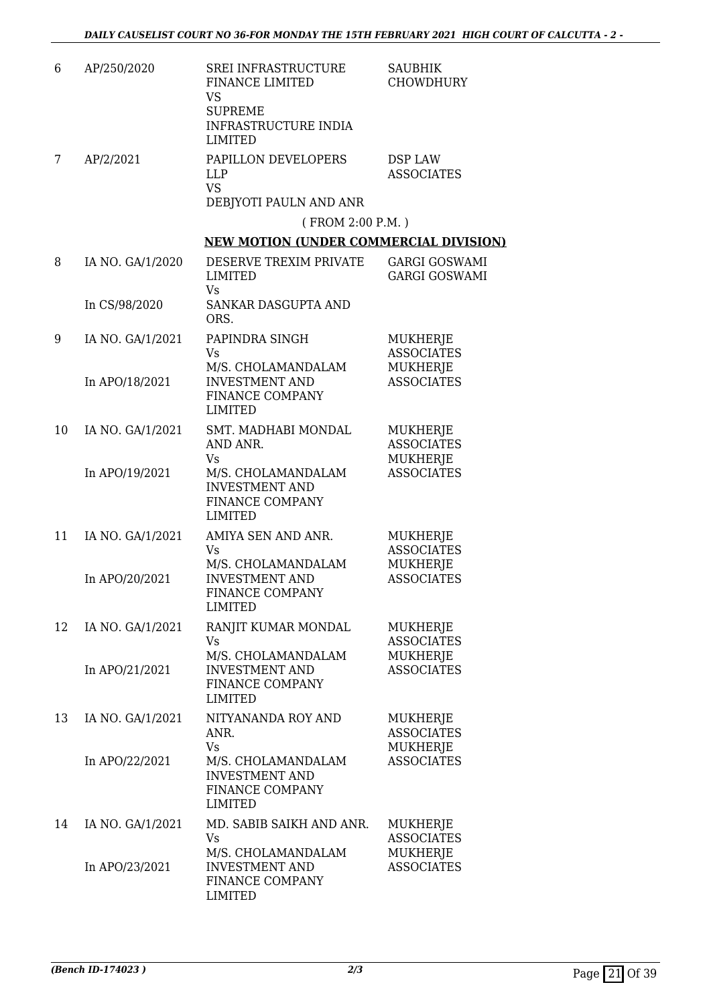| 6  | AP/250/2020      | SREI INFRASTRUCTURE<br>FINANCE LIMITED<br><b>VS</b><br><b>SUPREME</b><br>INFRASTRUCTURE INDIA<br><b>LIMITED</b> | <b>SAUBHIK</b><br><b>CHOWDHURY</b>                      |
|----|------------------|-----------------------------------------------------------------------------------------------------------------|---------------------------------------------------------|
| 7  | AP/2/2021        | PAPILLON DEVELOPERS<br><b>LLP</b><br><b>VS</b><br>DEBJYOTI PAULN AND ANR                                        | DSP LAW<br><b>ASSOCIATES</b>                            |
|    |                  | (FROM 2:00 P.M.)                                                                                                |                                                         |
|    |                  | <b>NEW MOTION (UNDER COMMERCIAL DIVISION)</b>                                                                   |                                                         |
| 8  | IA NO. GA/1/2020 | DESERVE TREXIM PRIVATE<br><b>LIMITED</b><br>Vs                                                                  | <b>GARGI GOSWAMI</b><br><b>GARGI GOSWAMI</b>            |
|    | In CS/98/2020    | SANKAR DASGUPTA AND<br>ORS.                                                                                     |                                                         |
| 9  | IA NO. GA/1/2021 | PAPINDRA SINGH<br><b>Vs</b>                                                                                     | MUKHERJE<br><b>ASSOCIATES</b>                           |
|    | In APO/18/2021   | M/S. CHOLAMANDALAM<br><b>INVESTMENT AND</b><br>FINANCE COMPANY<br><b>LIMITED</b>                                | MUKHERJE<br><b>ASSOCIATES</b>                           |
| 10 | IA NO. GA/1/2021 | SMT. MADHABI MONDAL<br>AND ANR.<br><b>Vs</b>                                                                    | MUKHERJE<br><b>ASSOCIATES</b><br>MUKHERJE               |
|    | In APO/19/2021   | M/S. CHOLAMANDALAM<br><b>INVESTMENT AND</b><br>FINANCE COMPANY<br><b>LIMITED</b>                                | <b>ASSOCIATES</b>                                       |
| 11 | IA NO. GA/1/2021 | AMIYA SEN AND ANR.<br>Vs                                                                                        | MUKHERJE<br><b>ASSOCIATES</b>                           |
|    | In APO/20/2021   | M/S. CHOLAMANDALAM<br><b>INVESTMENT AND</b><br>FINANCE COMPANY<br><b>LIMITED</b>                                | MUKHERJE<br><b>ASSOCIATES</b>                           |
| 12 | IA NO. GA/1/2021 | RANJIT KUMAR MONDAL<br>Vs<br>M/S. CHOLAMANDALAM                                                                 | MUKHERJE<br><b>ASSOCIATES</b>                           |
|    | In APO/21/2021   | <b>INVESTMENT AND</b><br>FINANCE COMPANY<br><b>LIMITED</b>                                                      | MUKHERJE<br><b>ASSOCIATES</b>                           |
| 13 | IA NO. GA/1/2021 | NITYANANDA ROY AND<br>ANR.<br>Vs                                                                                | <b>MUKHERJE</b><br><b>ASSOCIATES</b><br><b>MUKHERJE</b> |
|    | In APO/22/2021   | M/S. CHOLAMANDALAM<br><b>INVESTMENT AND</b><br>FINANCE COMPANY<br><b>LIMITED</b>                                | <b>ASSOCIATES</b>                                       |
| 14 | IA NO. GA/1/2021 | MD. SABIB SAIKH AND ANR.<br>Vs<br>M/S. CHOLAMANDALAM                                                            | MUKHERJE<br><b>ASSOCIATES</b><br><b>MUKHERJE</b>        |
|    | In APO/23/2021   | <b>INVESTMENT AND</b><br>FINANCE COMPANY<br><b>LIMITED</b>                                                      | <b>ASSOCIATES</b>                                       |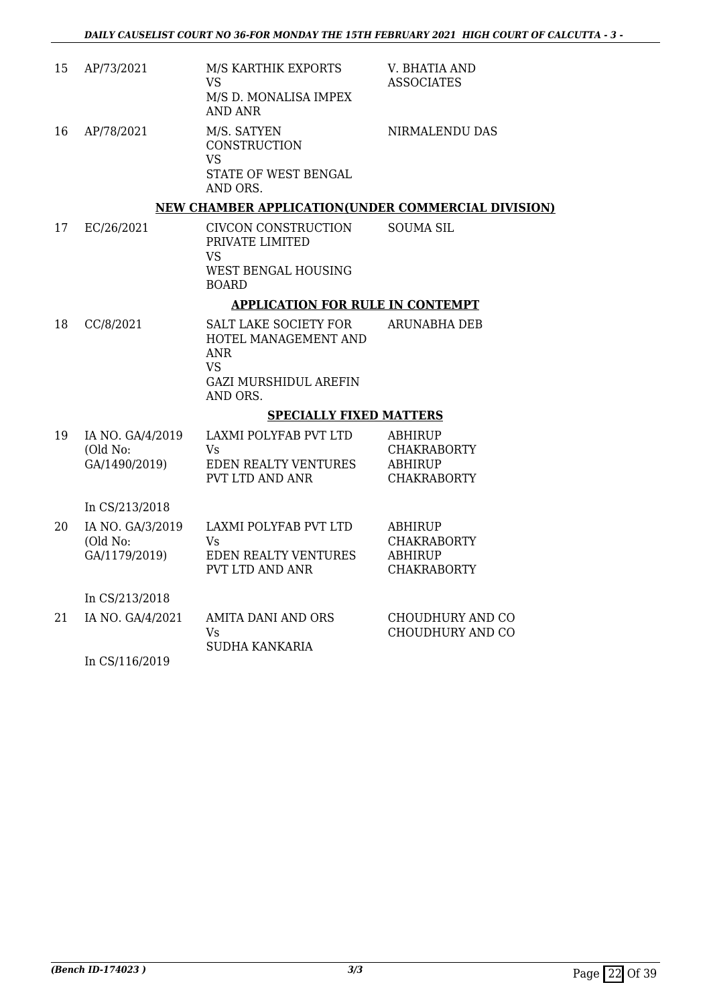| 15 | AP/73/2021                                    | M/S KARTHIK EXPORTS<br><b>VS</b><br>M/S D. MONALISA IMPEX<br><b>AND ANR</b>                                                 | V. BHATIA AND<br><b>ASSOCIATES</b>                                           |
|----|-----------------------------------------------|-----------------------------------------------------------------------------------------------------------------------------|------------------------------------------------------------------------------|
| 16 | AP/78/2021                                    | M/S. SATYEN<br>CONSTRUCTION<br><b>VS</b><br>STATE OF WEST BENGAL<br>AND ORS.                                                | NIRMALENDU DAS                                                               |
|    |                                               | NEW CHAMBER APPLICATION(UNDER COMMERCIAL DIVISION)                                                                          |                                                                              |
| 17 | EC/26/2021                                    | CIVCON CONSTRUCTION<br>PRIVATE LIMITED<br>VS<br>WEST BENGAL HOUSING<br><b>BOARD</b>                                         | <b>SOUMA SIL</b>                                                             |
|    |                                               | <b>APPLICATION FOR RULE IN CONTEMPT</b>                                                                                     |                                                                              |
| 18 | CC/8/2021                                     | <b>SALT LAKE SOCIETY FOR</b><br>HOTEL MANAGEMENT AND<br><b>ANR</b><br><b>VS</b><br><b>GAZI MURSHIDUL AREFIN</b><br>AND ORS. | ARUNABHA DEB                                                                 |
|    |                                               | <b>SPECIALLY FIXED MATTERS</b>                                                                                              |                                                                              |
| 19 | IA NO. GA/4/2019<br>(Old No:<br>GA/1490/2019) | LAXMI POLYFAB PVT LTD<br>Vs<br>EDEN REALTY VENTURES<br>PVT LTD AND ANR                                                      | <b>ABHIRUP</b><br><b>CHAKRABORTY</b><br><b>ABHIRUP</b><br><b>CHAKRABORTY</b> |
|    | In CS/213/2018                                |                                                                                                                             |                                                                              |
| 20 | IA NO. GA/3/2019<br>(Old No:<br>GA/1179/2019) | <b>LAXMI POLYFAB PVT LTD</b><br>Vs<br><b>EDEN REALTY VENTURES</b><br>PVT LTD AND ANR                                        | <b>ABHIRUP</b><br><b>CHAKRABORTY</b><br><b>ABHIRUP</b><br><b>CHAKRABORTY</b> |
|    | In CS/213/2018                                |                                                                                                                             |                                                                              |
| 21 | IA NO. GA/4/2021                              | <b>AMITA DANI AND ORS</b><br>Vs<br><b>SUDHA KANKARIA</b>                                                                    | CHOUDHURY AND CO<br>CHOUDHURY AND CO                                         |

In CS/116/2019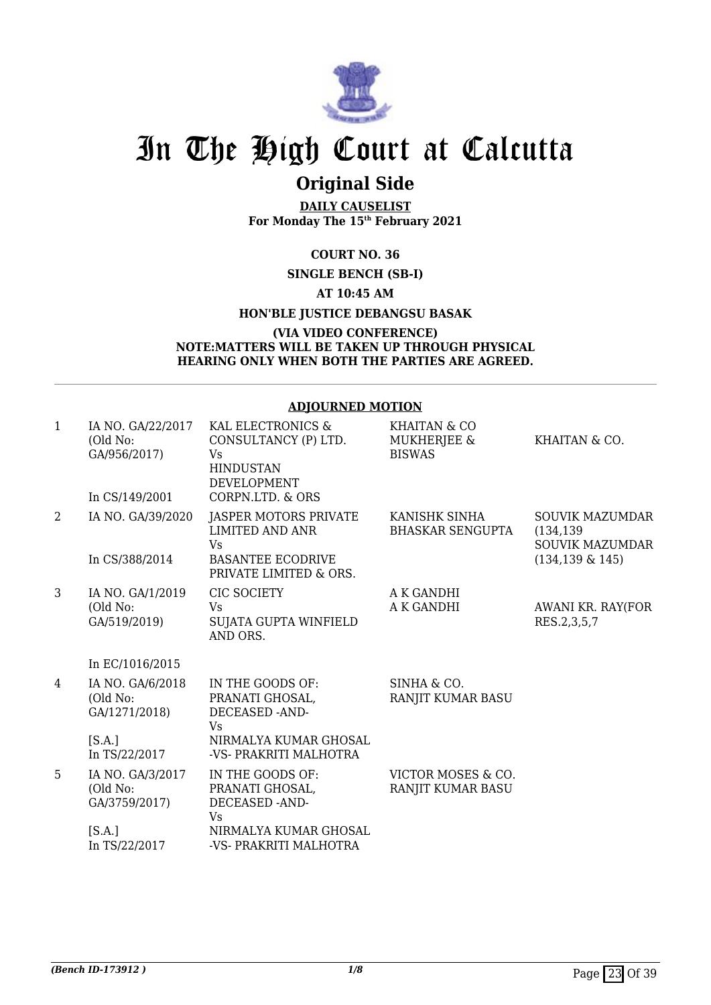

## **Original Side**

**DAILY CAUSELIST For Monday The 15th February 2021**

### **COURT NO. 36**

### **SINGLE BENCH (SB-I)**

### **AT 10:45 AM**

### **HON'BLE JUSTICE DEBANGSU BASAK**

### **(VIA VIDEO CONFERENCE) NOTE:MATTERS WILL BE TAKEN UP THROUGH PHYSICAL HEARING ONLY WHEN BOTH THE PARTIES ARE AGREED.**

### **ADJOURNED MOTION**

| 1              | IA NO. GA/22/2017<br>(Old No:<br>GA/956/2017)<br>In CS/149/2001 | KAL ELECTRONICS &<br>CONSULTANCY (P) LTD.<br>Vs<br><b>HINDUSTAN</b><br><b>DEVELOPMENT</b><br>CORPN.LTD. & ORS | <b>KHAITAN &amp; CO</b><br>MUKHERJEE &<br><b>BISWAS</b> | KHAITAN & CO.                                                                         |
|----------------|-----------------------------------------------------------------|---------------------------------------------------------------------------------------------------------------|---------------------------------------------------------|---------------------------------------------------------------------------------------|
| $\overline{2}$ | IA NO. GA/39/2020<br>In CS/388/2014                             | JASPER MOTORS PRIVATE<br>LIMITED AND ANR<br><b>Vs</b><br><b>BASANTEE ECODRIVE</b><br>PRIVATE LIMITED & ORS.   | KANISHK SINHA<br><b>BHASKAR SENGUPTA</b>                | <b>SOUVIK MAZUMDAR</b><br>(134, 139)<br><b>SOUVIK MAZUMDAR</b><br>$(134, 139 \& 145)$ |
| 3              | IA NO. GA/1/2019<br>(Old No:<br>GA/519/2019)                    | <b>CIC SOCIETY</b><br>Vs<br>SUJATA GUPTA WINFIELD<br>AND ORS.                                                 | A K GANDHI<br>A K GANDHI                                | AWANI KR. RAY(FOR<br>RES.2,3,5,7                                                      |
|                | In EC/1016/2015                                                 |                                                                                                               |                                                         |                                                                                       |
| 4              | IA NO. GA/6/2018<br>(Old No:<br>GA/1271/2018)                   | IN THE GOODS OF:<br>PRANATI GHOSAL,<br>DECEASED -AND-<br>Vs                                                   | SINHA & CO.<br>RANJIT KUMAR BASU                        |                                                                                       |
|                | [S.A.]<br>In TS/22/2017                                         | NIRMALYA KUMAR GHOSAL<br>-VS- PRAKRITI MALHOTRA                                                               |                                                         |                                                                                       |
| 5              | IA NO. GA/3/2017<br>(Old No:<br>GA/3759/2017)                   | IN THE GOODS OF:<br>PRANATI GHOSAL,<br>DECEASED -AND-<br>Vs                                                   | VICTOR MOSES & CO.<br>RANJIT KUMAR BASU                 |                                                                                       |
|                | [S.A.]<br>In TS/22/2017                                         | NIRMALYA KUMAR GHOSAL<br>-VS- PRAKRITI MALHOTRA                                                               |                                                         |                                                                                       |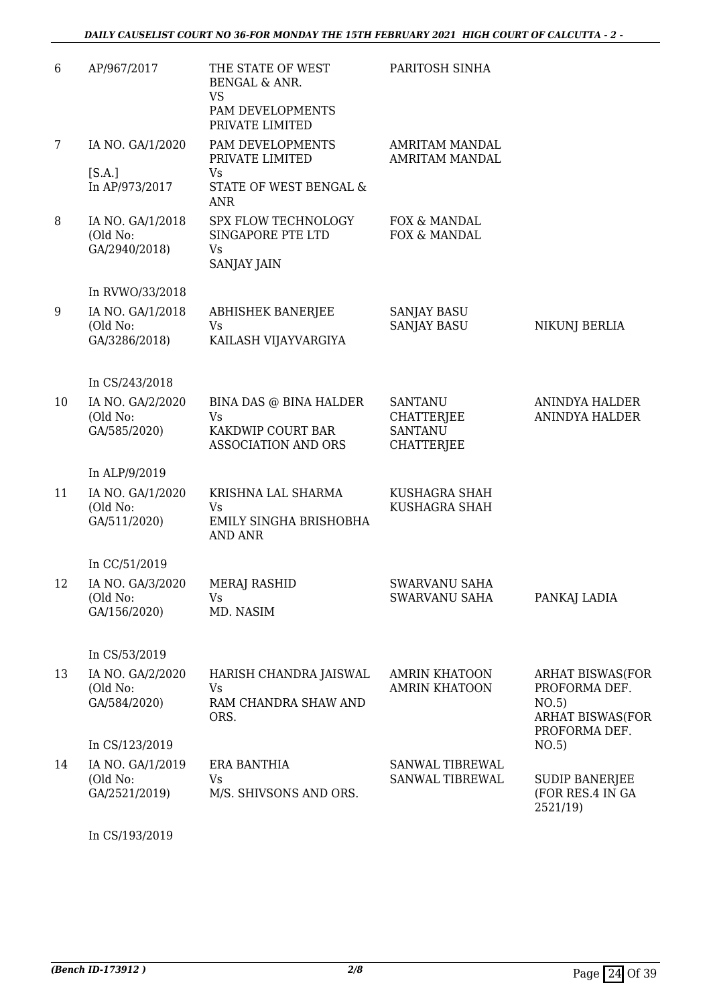| 6              | AP/967/2017                                   | THE STATE OF WEST<br><b>BENGAL &amp; ANR.</b><br><b>VS</b><br>PAM DEVELOPMENTS<br>PRIVATE LIMITED | PARITOSH SINHA                                                             |                                                                                               |
|----------------|-----------------------------------------------|---------------------------------------------------------------------------------------------------|----------------------------------------------------------------------------|-----------------------------------------------------------------------------------------------|
| $7\phantom{.}$ | IA NO. GA/1/2020                              | PAM DEVELOPMENTS<br>PRIVATE LIMITED                                                               | <b>AMRITAM MANDAL</b><br><b>AMRITAM MANDAL</b>                             |                                                                                               |
|                | [S.A.]<br>In AP/973/2017                      | Vs<br>STATE OF WEST BENGAL &<br><b>ANR</b>                                                        |                                                                            |                                                                                               |
| 8              | IA NO. GA/1/2018<br>(Old No:<br>GA/2940/2018) | SPX FLOW TECHNOLOGY<br>SINGAPORE PTE LTD<br>Vs<br>SANJAY JAIN                                     | FOX & MANDAL<br>FOX & MANDAL                                               |                                                                                               |
|                | In RVWO/33/2018                               |                                                                                                   |                                                                            |                                                                                               |
| 9              | IA NO. GA/1/2018<br>(Old No:<br>GA/3286/2018) | <b>ABHISHEK BANERJEE</b><br>Vs<br>KAILASH VIJAYVARGIYA                                            | <b>SANJAY BASU</b><br><b>SANJAY BASU</b>                                   | NIKUNJ BERLIA                                                                                 |
|                | In CS/243/2018                                |                                                                                                   |                                                                            |                                                                                               |
| 10             | IA NO. GA/2/2020<br>(Old No:<br>GA/585/2020)  | BINA DAS @ BINA HALDER<br><b>Vs</b><br>KAKDWIP COURT BAR<br>ASSOCIATION AND ORS                   | <b>SANTANU</b><br><b>CHATTERJEE</b><br><b>SANTANU</b><br><b>CHATTERJEE</b> | <b>ANINDYA HALDER</b><br>ANINDYA HALDER                                                       |
|                | In ALP/9/2019                                 |                                                                                                   |                                                                            |                                                                                               |
| 11             | IA NO. GA/1/2020<br>(Old No:<br>GA/511/2020)  | KRISHNA LAL SHARMA<br>Vs<br>EMILY SINGHA BRISHOBHA<br><b>AND ANR</b>                              | KUSHAGRA SHAH<br>KUSHAGRA SHAH                                             |                                                                                               |
|                | In CC/51/2019                                 |                                                                                                   |                                                                            |                                                                                               |
| 12             | IA NO. GA/3/2020<br>(Old No:<br>GA/156/2020)  | MERAJ RASHID<br>Vs<br>MD. NASIM                                                                   | SWARVANU SAHA<br>SWARVANU SAHA                                             | PANKAJ LADIA                                                                                  |
|                | In CS/53/2019                                 |                                                                                                   |                                                                            |                                                                                               |
| 13             | IA NO. GA/2/2020<br>(Old No:<br>GA/584/2020)  | HARISH CHANDRA JAISWAL<br>Vs<br>RAM CHANDRA SHAW AND<br>ORS.                                      | <b>AMRIN KHATOON</b><br><b>AMRIN KHATOON</b>                               | <b>ARHAT BISWAS(FOR</b><br>PROFORMA DEF.<br>NO.5)<br><b>ARHAT BISWAS(FOR</b><br>PROFORMA DEF. |
|                | In CS/123/2019                                |                                                                                                   |                                                                            | NO.5)                                                                                         |
| 14             | IA NO. GA/1/2019<br>(Old No:<br>GA/2521/2019) | ERA BANTHIA<br>Vs<br>M/S. SHIVSONS AND ORS.                                                       | SANWAL TIBREWAL<br>SANWAL TIBREWAL                                         | <b>SUDIP BANERJEE</b><br>(FOR RES.4 IN GA<br>2521/19)                                         |
|                |                                               |                                                                                                   |                                                                            |                                                                                               |

In CS/193/2019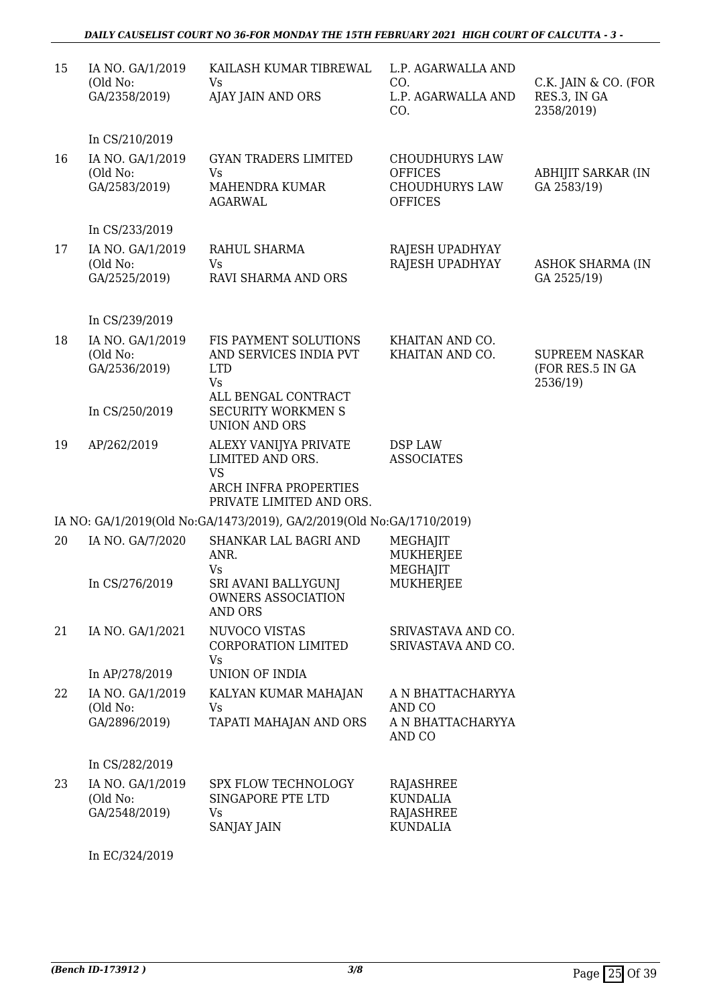### *DAILY CAUSELIST COURT NO 36-FOR MONDAY THE 15TH FEBRUARY 2021 HIGH COURT OF CALCUTTA - 3 -*

| 15 | IA NO. GA/1/2019<br>(Old No:<br>GA/2358/2019)                   | KAILASH KUMAR TIBREWAL<br>Vs<br>AJAY JAIN AND ORS                                                           | L.P. AGARWALLA AND<br>CO.<br>L.P. AGARWALLA AND<br>CO.                             | C.K. JAIN & CO. (FOR<br>RES.3, IN GA<br>2358/2019)    |
|----|-----------------------------------------------------------------|-------------------------------------------------------------------------------------------------------------|------------------------------------------------------------------------------------|-------------------------------------------------------|
| 16 | In CS/210/2019<br>IA NO. GA/1/2019<br>(Old No:<br>GA/2583/2019) | <b>GYAN TRADERS LIMITED</b><br>Vs<br>MAHENDRA KUMAR<br><b>AGARWAL</b>                                       | <b>CHOUDHURYS LAW</b><br><b>OFFICES</b><br><b>CHOUDHURYS LAW</b><br><b>OFFICES</b> | ABHIJIT SARKAR (IN<br>GA 2583/19)                     |
|    | In CS/233/2019                                                  |                                                                                                             |                                                                                    |                                                       |
| 17 | IA NO. GA/1/2019<br>(Old No:<br>GA/2525/2019)                   | RAHUL SHARMA<br>Vs<br>RAVI SHARMA AND ORS                                                                   | RAJESH UPADHYAY<br>RAJESH UPADHYAY                                                 | <b>ASHOK SHARMA (IN</b><br>GA 2525/19)                |
|    | In CS/239/2019                                                  |                                                                                                             |                                                                                    |                                                       |
| 18 | IA NO. GA/1/2019<br>(Old No:<br>GA/2536/2019)                   | FIS PAYMENT SOLUTIONS<br>AND SERVICES INDIA PVT<br><b>LTD</b><br><b>Vs</b>                                  | KHAITAN AND CO.<br>KHAITAN AND CO.                                                 | <b>SUPREEM NASKAR</b><br>(FOR RES.5 IN GA<br>2536/19) |
|    | In CS/250/2019                                                  | ALL BENGAL CONTRACT<br><b>SECURITY WORKMEN S</b><br><b>UNION AND ORS</b>                                    |                                                                                    |                                                       |
| 19 | AP/262/2019                                                     | ALEXY VANIJYA PRIVATE<br>LIMITED AND ORS.<br><b>VS</b><br>ARCH INFRA PROPERTIES<br>PRIVATE LIMITED AND ORS. | DSP LAW<br><b>ASSOCIATES</b>                                                       |                                                       |
|    |                                                                 | IA NO: GA/1/2019(Old No:GA/1473/2019), GA/2/2019(Old No:GA/1710/2019)                                       |                                                                                    |                                                       |
| 20 | IA NO. GA/7/2020                                                | SHANKAR LAL BAGRI AND<br>ANR.<br><b>Vs</b>                                                                  | MEGHAJIT<br>MUKHERJEE<br>MEGHAJIT                                                  |                                                       |
|    | In CS/276/2019                                                  | SRI AVANI BALLYGUNJ<br><b>OWNERS ASSOCIATION</b><br><b>AND ORS</b>                                          | MUKHERJEE                                                                          |                                                       |
| 21 | IA NO. GA/1/2021                                                | NUVOCO VISTAS<br>CORPORATION LIMITED<br>Vs                                                                  | SRIVASTAVA AND CO.<br>SRIVASTAVA AND CO.                                           |                                                       |
|    | In AP/278/2019                                                  | UNION OF INDIA                                                                                              |                                                                                    |                                                       |
| 22 | IA NO. GA/1/2019<br>(Old No:<br>GA/2896/2019)                   | KALYAN KUMAR MAHAJAN<br>Vs<br>TAPATI MAHAJAN AND ORS                                                        | A N BHATTACHARYYA<br>AND CO<br>A N BHATTACHARYYA<br>AND CO                         |                                                       |
|    | In CS/282/2019                                                  |                                                                                                             |                                                                                    |                                                       |
| 23 | IA NO. GA/1/2019<br>(Old No:<br>GA/2548/2019)                   | SPX FLOW TECHNOLOGY<br>SINGAPORE PTE LTD<br>Vs<br>SANJAY JAIN                                               | RAJASHREE<br><b>KUNDALIA</b><br><b>RAJASHREE</b><br><b>KUNDALIA</b>                |                                                       |
|    |                                                                 |                                                                                                             |                                                                                    |                                                       |

In EC/324/2019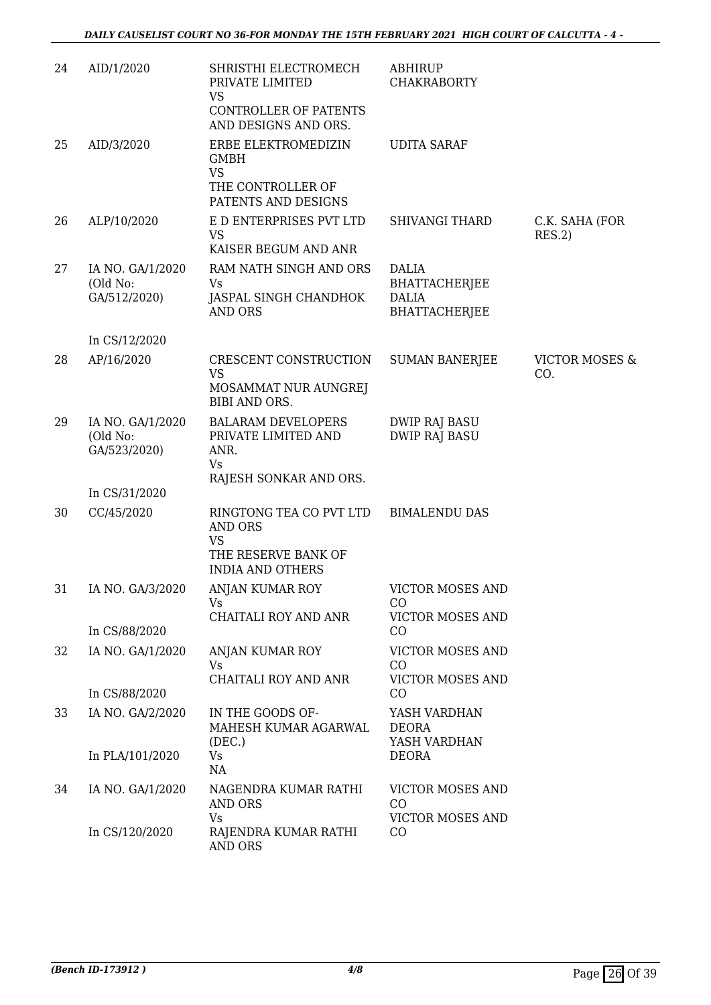| 24 | AID/1/2020                                   | SHRISTHI ELECTROMECH<br>PRIVATE LIMITED<br><b>VS</b>                          | <b>ABHIRUP</b><br><b>CHAKRABORTY</b>         |                                  |
|----|----------------------------------------------|-------------------------------------------------------------------------------|----------------------------------------------|----------------------------------|
|    |                                              | CONTROLLER OF PATENTS<br>AND DESIGNS AND ORS.                                 |                                              |                                  |
| 25 | AID/3/2020                                   | ERBE ELEKTROMEDIZIN<br><b>GMBH</b><br><b>VS</b>                               | <b>UDITA SARAF</b>                           |                                  |
|    |                                              | THE CONTROLLER OF<br>PATENTS AND DESIGNS                                      |                                              |                                  |
| 26 | ALP/10/2020                                  | E D ENTERPRISES PVT LTD<br><b>VS</b><br>KAISER BEGUM AND ANR                  | <b>SHIVANGI THARD</b>                        | C.K. SAHA (FOR<br>RES.2)         |
| 27 | IA NO. GA/1/2020                             | RAM NATH SINGH AND ORS                                                        | <b>DALIA</b>                                 |                                  |
|    | (Old No:<br>GA/512/2020)                     | Vs<br>JASPAL SINGH CHANDHOK                                                   | BHATTACHERJEE<br><b>DALIA</b>                |                                  |
|    |                                              | <b>AND ORS</b>                                                                | <b>BHATTACHERJEE</b>                         |                                  |
|    | In CS/12/2020                                |                                                                               |                                              |                                  |
| 28 | AP/16/2020                                   | CRESCENT CONSTRUCTION<br><b>VS</b>                                            | <b>SUMAN BANERJEE</b>                        | <b>VICTOR MOSES &amp;</b><br>CO. |
|    |                                              | MOSAMMAT NUR AUNGREJ<br><b>BIBI AND ORS.</b>                                  |                                              |                                  |
| 29 | IA NO. GA/1/2020<br>(Old No:<br>GA/523/2020) | <b>BALARAM DEVELOPERS</b><br>PRIVATE LIMITED AND<br>ANR.<br><b>Vs</b>         | <b>DWIP RAJ BASU</b><br><b>DWIP RAJ BASU</b> |                                  |
|    | In CS/31/2020                                | RAJESH SONKAR AND ORS.                                                        |                                              |                                  |
| 30 | CC/45/2020                                   | RINGTONG TEA CO PVT LTD<br><b>AND ORS</b><br><b>VS</b><br>THE RESERVE BANK OF | <b>BIMALENDU DAS</b>                         |                                  |
|    |                                              | <b>INDIA AND OTHERS</b>                                                       |                                              |                                  |
| 31 | IA NO. GA/3/2020                             | ANJAN KUMAR ROY<br>Vs                                                         | <b>VICTOR MOSES AND</b><br>CO                |                                  |
|    | In CS/88/2020                                | CHAITALI ROY AND ANR                                                          | VICTOR MOSES AND<br>CO                       |                                  |
| 32 | IA NO. GA/1/2020                             | <b>ANJAN KUMAR ROY</b><br>Vs                                                  | VICTOR MOSES AND<br>CO                       |                                  |
|    |                                              | CHAITALI ROY AND ANR                                                          | <b>VICTOR MOSES AND</b>                      |                                  |
|    | In CS/88/2020                                |                                                                               | CO                                           |                                  |
| 33 | IA NO. GA/2/2020                             | IN THE GOODS OF-<br>MAHESH KUMAR AGARWAL<br>(DEC.)                            | YASH VARDHAN<br>DEORA<br>YASH VARDHAN        |                                  |
|    | In PLA/101/2020                              | Vs<br>NA                                                                      | DEORA                                        |                                  |
| 34 | IA NO. GA/1/2020                             | NAGENDRA KUMAR RATHI<br><b>AND ORS</b>                                        | VICTOR MOSES AND<br>CO                       |                                  |
|    | In CS/120/2020                               | Vs<br>RAJENDRA KUMAR RATHI<br>AND ORS                                         | VICTOR MOSES AND<br>CO                       |                                  |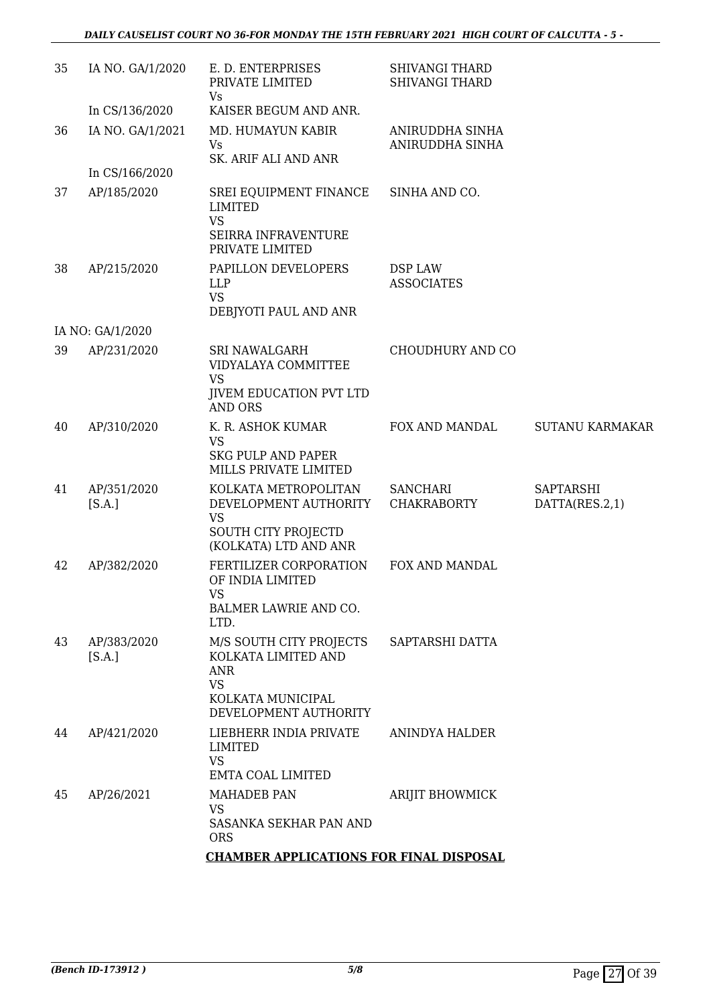| 35 | IA NO. GA/1/2020      | E. D. ENTERPRISES<br>PRIVATE LIMITED<br>Vs.                                                                             | <b>SHIVANGI THARD</b><br><b>SHIVANGI THARD</b> |                                    |
|----|-----------------------|-------------------------------------------------------------------------------------------------------------------------|------------------------------------------------|------------------------------------|
|    | In CS/136/2020        | KAISER BEGUM AND ANR.                                                                                                   |                                                |                                    |
| 36 | IA NO. GA/1/2021      | MD. HUMAYUN KABIR<br><b>Vs</b><br>SK. ARIF ALI AND ANR                                                                  | ANIRUDDHA SINHA<br>ANIRUDDHA SINHA             |                                    |
|    | In CS/166/2020        |                                                                                                                         |                                                |                                    |
| 37 | AP/185/2020           | SREI EQUIPMENT FINANCE<br><b>LIMITED</b><br><b>VS</b>                                                                   | SINHA AND CO.                                  |                                    |
|    |                       | SEIRRA INFRAVENTURE<br>PRIVATE LIMITED                                                                                  |                                                |                                    |
| 38 | AP/215/2020           | PAPILLON DEVELOPERS<br><b>LLP</b><br><b>VS</b><br>DEBJYOTI PAUL AND ANR                                                 | DSP LAW<br><b>ASSOCIATES</b>                   |                                    |
|    | IA NO: GA/1/2020      |                                                                                                                         |                                                |                                    |
| 39 | AP/231/2020           | <b>SRI NAWALGARH</b><br>VIDYALAYA COMMITTEE<br><b>VS</b><br><b>JIVEM EDUCATION PVT LTD</b>                              | CHOUDHURY AND CO                               |                                    |
|    |                       | <b>AND ORS</b>                                                                                                          |                                                |                                    |
| 40 | AP/310/2020           | K. R. ASHOK KUMAR<br><b>VS</b><br><b>SKG PULP AND PAPER</b>                                                             | FOX AND MANDAL                                 | <b>SUTANU KARMAKAR</b>             |
|    |                       | MILLS PRIVATE LIMITED                                                                                                   |                                                |                                    |
| 41 | AP/351/2020<br>[S.A.] | KOLKATA METROPOLITAN<br>DEVELOPMENT AUTHORITY<br><b>VS</b>                                                              | <b>SANCHARI</b><br><b>CHAKRABORTY</b>          | <b>SAPTARSHI</b><br>DATTA(RES.2,1) |
|    |                       | <b>SOUTH CITY PROJECTD</b><br>(KOLKATA) LTD AND ANR                                                                     |                                                |                                    |
| 42 | AP/382/2020           | FERTILIZER CORPORATION<br>OF INDIA LIMITED                                                                              | FOX AND MANDAL                                 |                                    |
|    |                       | VS<br>BALMER LAWRIE AND CO.<br>LTD.                                                                                     |                                                |                                    |
| 43 | AP/383/2020<br>[S.A.] | M/S SOUTH CITY PROJECTS<br>KOLKATA LIMITED AND<br><b>ANR</b><br><b>VS</b><br>KOLKATA MUNICIPAL<br>DEVELOPMENT AUTHORITY | SAPTARSHI DATTA                                |                                    |
| 44 | AP/421/2020           | LIEBHERR INDIA PRIVATE<br><b>LIMITED</b><br><b>VS</b>                                                                   | ANINDYA HALDER                                 |                                    |
|    |                       | EMTA COAL LIMITED                                                                                                       |                                                |                                    |
| 45 | AP/26/2021            | <b>MAHADEB PAN</b><br><b>VS</b><br>SASANKA SEKHAR PAN AND<br><b>ORS</b>                                                 | ARIJIT BHOWMICK                                |                                    |
|    |                       | <b>CHAMBER APPLICATIONS FOR FINAL DISPOSAL</b>                                                                          |                                                |                                    |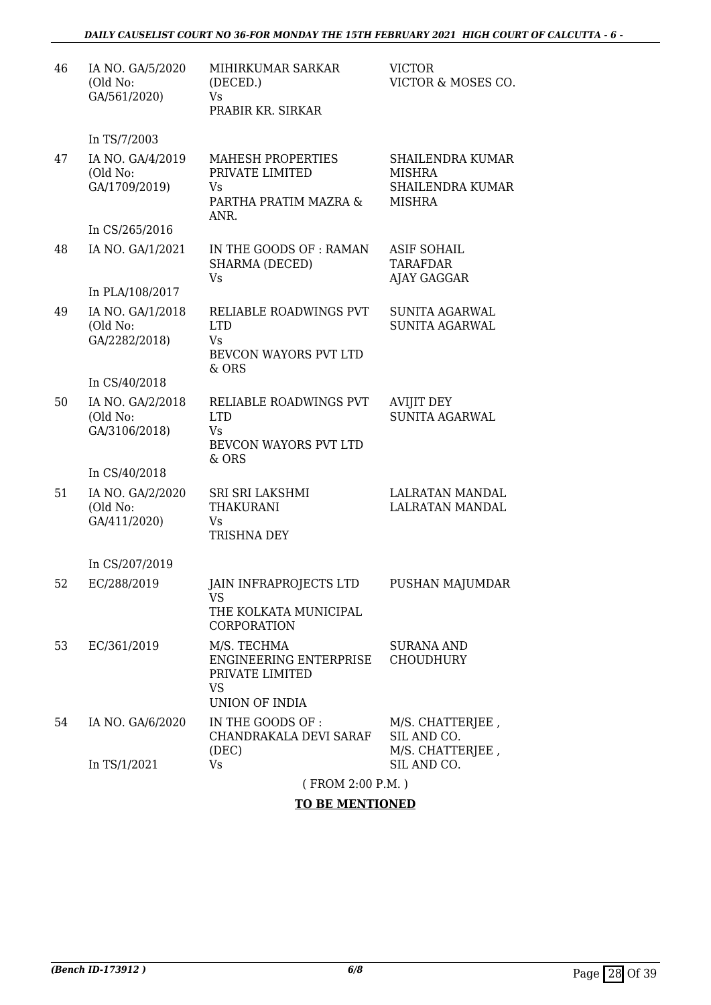| 46 | IA NO. GA/5/2020<br>(Old No:<br>GA/561/2020)  | MIHIRKUMAR SARKAR<br>(DECED.)<br>Vs.<br>PRABIR KR. SIRKAR                               | <b>VICTOR</b><br>VICTOR & MOSES CO.                                                  |
|----|-----------------------------------------------|-----------------------------------------------------------------------------------------|--------------------------------------------------------------------------------------|
|    | In TS/7/2003                                  |                                                                                         |                                                                                      |
| 47 | IA NO. GA/4/2019<br>(Old No:<br>GA/1709/2019) | <b>MAHESH PROPERTIES</b><br>PRIVATE LIMITED<br>Vs<br>PARTHA PRATIM MAZRA &<br>ANR.      | <b>SHAILENDRA KUMAR</b><br><b>MISHRA</b><br><b>SHAILENDRA KUMAR</b><br><b>MISHRA</b> |
|    | In CS/265/2016                                |                                                                                         |                                                                                      |
| 48 | IA NO. GA/1/2021                              | IN THE GOODS OF: RAMAN<br>SHARMA (DECED)<br>Vs                                          | <b>ASIF SOHAIL</b><br><b>TARAFDAR</b><br>AJAY GAGGAR                                 |
|    | In PLA/108/2017                               |                                                                                         |                                                                                      |
| 49 | IA NO. GA/1/2018<br>(Old No:<br>GA/2282/2018) | RELIABLE ROADWINGS PVT<br><b>LTD</b><br>Vs<br>BEVCON WAYORS PVT LTD<br>& ORS            | SUNITA AGARWAL<br><b>SUNITA AGARWAL</b>                                              |
|    | In CS/40/2018                                 |                                                                                         |                                                                                      |
| 50 | IA NO. GA/2/2018<br>(Old No:<br>GA/3106/2018) | RELIABLE ROADWINGS PVT<br><b>LTD</b><br>Vs.<br>BEVCON WAYORS PVT LTD                    | <b>AVIJIT DEY</b><br>SUNITA AGARWAL                                                  |
|    | In CS/40/2018                                 | & ORS                                                                                   |                                                                                      |
| 51 | IA NO. GA/2/2020<br>(Old No:<br>GA/411/2020)  | SRI SRI LAKSHMI<br><b>THAKURANI</b><br>Vs<br><b>TRISHNA DEY</b>                         | <b>LALRATAN MANDAL</b><br>LALRATAN MANDAL                                            |
|    | In CS/207/2019                                |                                                                                         |                                                                                      |
| 52 | EC/288/2019                                   | JAIN INFRAPROJECTS LTD<br>VS<br>THE KOLKATA MUNICIPAL                                   | PUSHAN MAJUMDAR                                                                      |
|    |                                               | CORPORATION                                                                             |                                                                                      |
| 53 | EC/361/2019                                   | M/S. TECHMA<br>ENGINEERING ENTERPRISE<br>PRIVATE LIMITED<br><b>VS</b><br>UNION OF INDIA | <b>SURANA AND</b><br><b>CHOUDHURY</b>                                                |
| 54 | IA NO. GA/6/2020                              | IN THE GOODS OF :<br>CHANDRAKALA DEVI SARAF<br>(DEC)                                    | M/S. CHATTERJEE,<br>SIL AND CO.<br>M/S. CHATTERJEE,                                  |
|    | In TS/1/2021                                  | Vs                                                                                      | SIL AND CO.                                                                          |
|    |                                               | (FROM 2:00 P.M.)                                                                        |                                                                                      |

### **TO BE MENTIONED**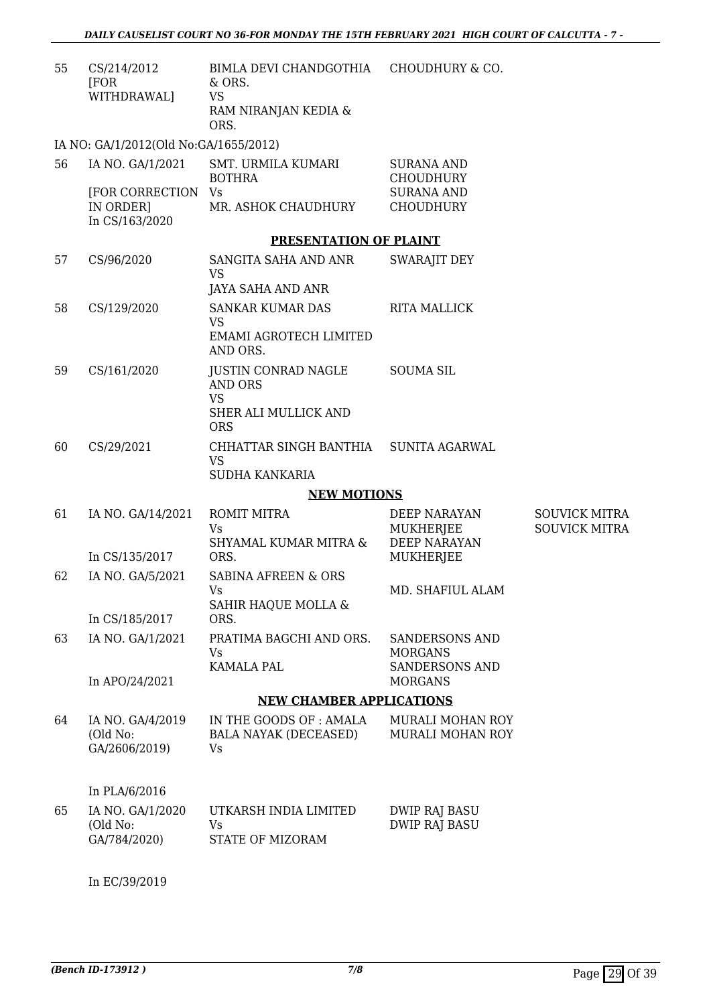| 55 | CS/214/2012<br>[FOR<br>WITHDRAWAL]                                            | BIMLA DEVI CHANDGOTHIA<br>& ORS.<br><b>VS</b><br>RAM NIRANJAN KEDIA &<br>ORS. | <b>CHOUDHURY &amp; CO.</b>                   |                      |
|----|-------------------------------------------------------------------------------|-------------------------------------------------------------------------------|----------------------------------------------|----------------------|
|    | IA NO: GA/1/2012(Old No:GA/1655/2012)                                         |                                                                               |                                              |                      |
| 56 | IA NO. GA/1/2021                                                              | <b>SMT. URMILA KUMARI</b><br><b>BOTHRA</b>                                    | <b>SURANA AND</b><br><b>CHOUDHURY</b>        |                      |
|    | [FOR CORRECTION Vs<br>IN ORDER]<br>In CS/163/2020                             | MR. ASHOK CHAUDHURY                                                           | <b>SURANA AND</b><br><b>CHOUDHURY</b>        |                      |
|    |                                                                               | PRESENTATION OF PLAINT                                                        |                                              |                      |
| 57 | CS/96/2020                                                                    | SANGITA SAHA AND ANR<br>VS                                                    | <b>SWARAJIT DEY</b>                          |                      |
|    |                                                                               | <b>JAYA SAHA AND ANR</b>                                                      |                                              |                      |
| 58 | CS/129/2020                                                                   | <b>SANKAR KUMAR DAS</b><br><b>VS</b><br>EMAMI AGROTECH LIMITED                | <b>RITA MALLICK</b>                          |                      |
|    |                                                                               | AND ORS.                                                                      |                                              |                      |
| 59 | CS/161/2020                                                                   | <b>JUSTIN CONRAD NAGLE</b><br><b>AND ORS</b>                                  | <b>SOUMA SIL</b>                             |                      |
|    |                                                                               | <b>VS</b><br>SHER ALI MULLICK AND<br><b>ORS</b>                               |                                              |                      |
| 60 | CS/29/2021                                                                    | CHHATTAR SINGH BANTHIA<br><b>VS</b><br>SUDHA KANKARIA                         | <b>SUNITA AGARWAL</b>                        |                      |
|    |                                                                               |                                                                               |                                              |                      |
| 61 | <b>NEW MOTIONS</b><br><b>ROMIT MITRA</b><br>IA NO. GA/14/2021<br>DEEP NARAYAN |                                                                               |                                              | <b>SOUVICK MITRA</b> |
|    |                                                                               | Vs                                                                            | <b>MUKHERJEE</b>                             | <b>SOUVICK MITRA</b> |
|    | In CS/135/2017                                                                | SHYAMAL KUMAR MITRA &<br>ORS.                                                 | <b>DEEP NARAYAN</b><br>MUKHERJEE             |                      |
| 62 | IA NO. GA/5/2021                                                              | <b>SABINA AFREEN &amp; ORS</b>                                                |                                              |                      |
|    |                                                                               | Vs.<br>SAHIR HAQUE MOLLA &                                                    | MD. SHAFIUL ALAM                             |                      |
|    | In CS/185/2017                                                                | ORS.                                                                          |                                              |                      |
| 63 | IA NO. GA/1/2021                                                              | PRATIMA BAGCHI AND ORS.                                                       | <b>SANDERSONS AND</b>                        |                      |
|    |                                                                               | Vs<br><b>KAMALA PAL</b>                                                       | <b>MORGANS</b><br><b>SANDERSONS AND</b>      |                      |
|    | In APO/24/2021                                                                |                                                                               | <b>MORGANS</b>                               |                      |
|    |                                                                               | <b>NEW CHAMBER APPLICATIONS</b>                                               |                                              |                      |
| 64 | IA NO. GA/4/2019<br>(Old No:<br>GA/2606/2019)                                 | IN THE GOODS OF: AMALA<br><b>BALA NAYAK (DECEASED)</b><br>Vs                  | MURALI MOHAN ROY<br>MURALI MOHAN ROY         |                      |
|    | In PLA/6/2016                                                                 |                                                                               |                                              |                      |
| 65 | IA NO. GA/1/2020<br>(Old No:<br>GA/784/2020)                                  | UTKARSH INDIA LIMITED<br>Vs<br>STATE OF MIZORAM                               | <b>DWIP RAJ BASU</b><br><b>DWIP RAJ BASU</b> |                      |
|    | In EC/39/2019                                                                 |                                                                               |                                              |                      |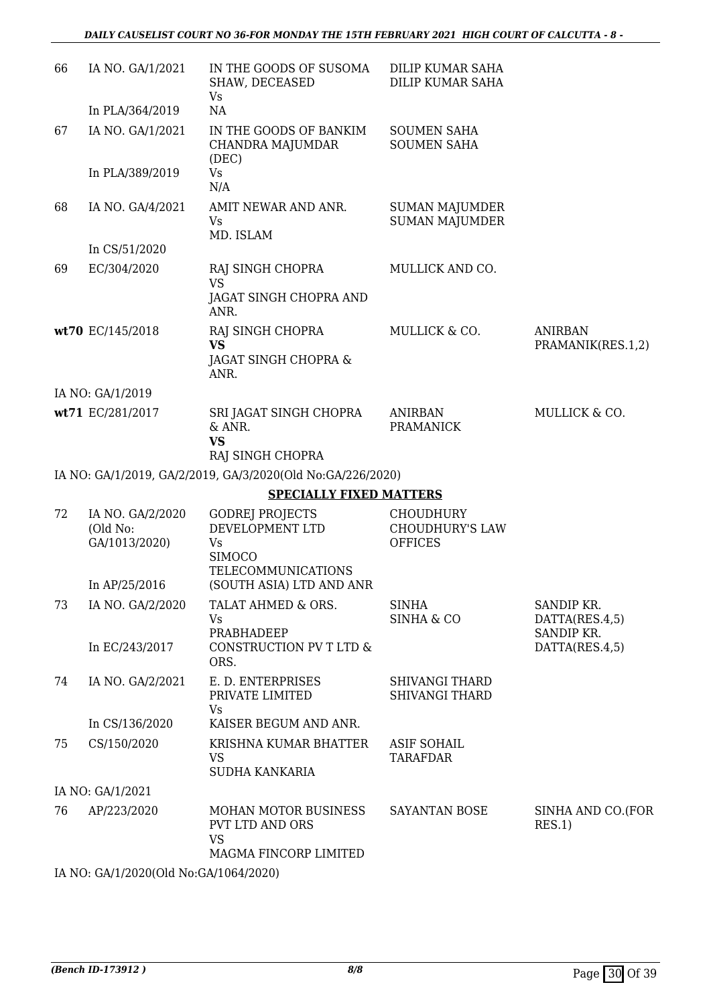| 66 | IA NO. GA/1/2021                                               | IN THE GOODS OF SUSOMA<br>SHAW, DECEASED<br>Vs                                                                            | DILIP KUMAR SAHA<br>DILIP KUMAR SAHA                         |                                                |
|----|----------------------------------------------------------------|---------------------------------------------------------------------------------------------------------------------------|--------------------------------------------------------------|------------------------------------------------|
|    | In PLA/364/2019                                                | NA                                                                                                                        |                                                              |                                                |
| 67 | IA NO. GA/1/2021                                               | IN THE GOODS OF BANKIM<br>CHANDRA MAJUMDAR<br>(DEC)                                                                       | <b>SOUMEN SAHA</b><br><b>SOUMEN SAHA</b>                     |                                                |
|    | In PLA/389/2019                                                | Vs<br>N/A                                                                                                                 |                                                              |                                                |
| 68 | IA NO. GA/4/2021                                               | AMIT NEWAR AND ANR.<br>Vs.<br>MD. ISLAM                                                                                   | <b>SUMAN MAJUMDER</b><br><b>SUMAN MAJUMDER</b>               |                                                |
|    | In CS/51/2020                                                  |                                                                                                                           |                                                              |                                                |
| 69 | EC/304/2020                                                    | RAJ SINGH CHOPRA<br><b>VS</b><br>JAGAT SINGH CHOPRA AND<br>ANR.                                                           | MULLICK AND CO.                                              |                                                |
|    | wt70 EC/145/2018                                               | RAJ SINGH CHOPRA                                                                                                          | MULLICK & CO.                                                | <b>ANIRBAN</b>                                 |
|    |                                                                | <b>VS</b>                                                                                                                 |                                                              | PRAMANIK(RES.1,2)                              |
|    |                                                                | JAGAT SINGH CHOPRA &<br>ANR.                                                                                              |                                                              |                                                |
|    | IA NO: GA/1/2019                                               |                                                                                                                           |                                                              |                                                |
|    | wt71 EC/281/2017                                               | SRI JAGAT SINGH CHOPRA<br>& ANR.<br><b>VS</b>                                                                             | <b>ANIRBAN</b><br><b>PRAMANICK</b>                           | MULLICK & CO.                                  |
|    |                                                                | RAJ SINGH CHOPRA                                                                                                          |                                                              |                                                |
|    |                                                                | IA NO: GA/1/2019, GA/2/2019, GA/3/2020(Old No:GA/226/2020)                                                                |                                                              |                                                |
|    |                                                                | <b>SPECIALLY FIXED MATTERS</b>                                                                                            |                                                              |                                                |
| 72 | IA NO. GA/2/2020<br>(Old No:<br>GA/1013/2020)<br>In AP/25/2016 | <b>GODREJ PROJECTS</b><br>DEVELOPMENT LTD<br>Vs<br><b>SIMOCO</b><br><b>TELECOMMUNICATIONS</b><br>(SOUTH ASIA) LTD AND ANR | <b>CHOUDHURY</b><br><b>CHOUDHURY'S LAW</b><br><b>OFFICES</b> |                                                |
| 73 | IA NO. GA/2/2020                                               | TALAT AHMED & ORS.                                                                                                        | <b>SINHA</b>                                                 | SANDIP KR.                                     |
|    | In EC/243/2017                                                 | Vs<br>PRABHADEEP<br>CONSTRUCTION PV T LTD &<br>ORS.                                                                       | <b>SINHA &amp; CO</b>                                        | DATTA(RES.4,5)<br>SANDIP KR.<br>DATTA(RES.4,5) |
| 74 | IA NO. GA/2/2021                                               | E. D. ENTERPRISES<br>PRIVATE LIMITED<br>Vs                                                                                | <b>SHIVANGI THARD</b><br><b>SHIVANGI THARD</b>               |                                                |
|    | In CS/136/2020                                                 | KAISER BEGUM AND ANR.                                                                                                     |                                                              |                                                |
| 75 | CS/150/2020                                                    | KRISHNA KUMAR BHATTER<br><b>VS</b><br>SUDHA KANKARIA                                                                      | <b>ASIF SOHAIL</b><br><b>TARAFDAR</b>                        |                                                |
|    | IA NO: GA/1/2021                                               |                                                                                                                           |                                                              |                                                |
| 76 | AP/223/2020                                                    | MOHAN MOTOR BUSINESS<br><b>PVT LTD AND ORS</b><br><b>VS</b><br>MAGMA FINCORP LIMITED                                      | <b>SAYANTAN BOSE</b>                                         | SINHA AND CO.(FOR<br>RES.1)                    |
|    |                                                                |                                                                                                                           |                                                              |                                                |

IA NO: GA/1/2020(Old No:GA/1064/2020)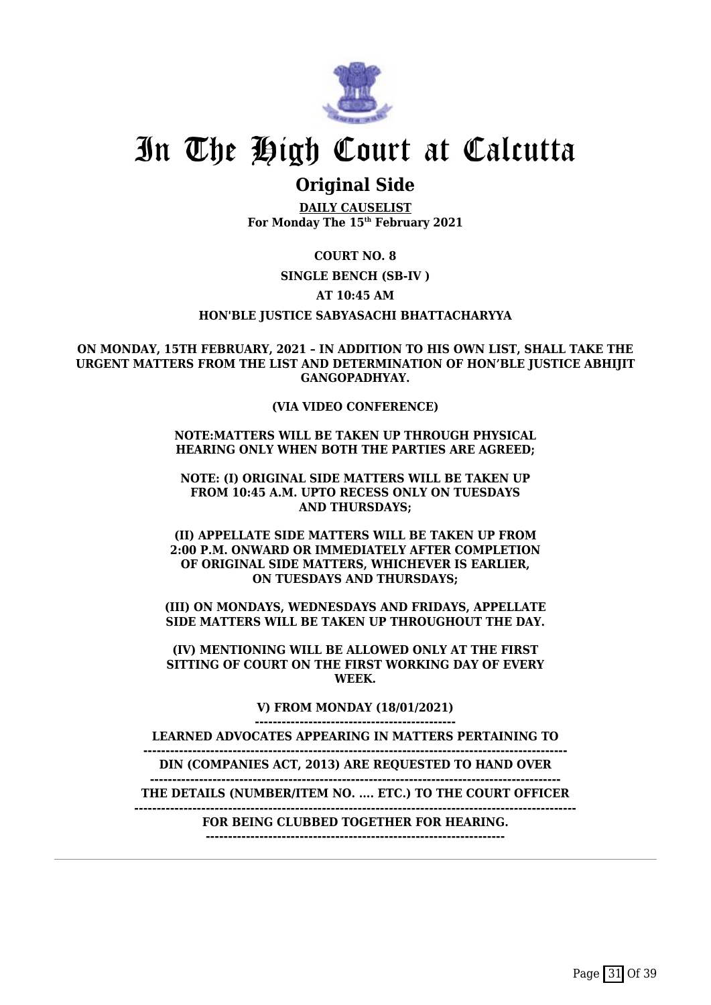

## **Original Side**

**DAILY CAUSELIST For Monday The 15th February 2021**

**COURT NO. 8**

**SINGLE BENCH (SB-IV )**

**AT 10:45 AM**

**HON'BLE JUSTICE SABYASACHI BHATTACHARYYA**

**ON MONDAY, 15TH FEBRUARY, 2021 – IN ADDITION TO HIS OWN LIST, SHALL TAKE THE URGENT MATTERS FROM THE LIST AND DETERMINATION OF HON'BLE JUSTICE ABHIJIT GANGOPADHYAY.**

### **(VIA VIDEO CONFERENCE)**

**NOTE:MATTERS WILL BE TAKEN UP THROUGH PHYSICAL HEARING ONLY WHEN BOTH THE PARTIES ARE AGREED;**

**NOTE: (I) ORIGINAL SIDE MATTERS WILL BE TAKEN UP FROM 10:45 A.M. UPTO RECESS ONLY ON TUESDAYS AND THURSDAYS;**

**(II) APPELLATE SIDE MATTERS WILL BE TAKEN UP FROM 2:00 P.M. ONWARD OR IMMEDIATELY AFTER COMPLETION OF ORIGINAL SIDE MATTERS, WHICHEVER IS EARLIER, ON TUESDAYS AND THURSDAYS;**

**(III) ON MONDAYS, WEDNESDAYS AND FRIDAYS, APPELLATE SIDE MATTERS WILL BE TAKEN UP THROUGHOUT THE DAY.**

**(IV) MENTIONING WILL BE ALLOWED ONLY AT THE FIRST SITTING OF COURT ON THE FIRST WORKING DAY OF EVERY WEEK.**

> **V) FROM MONDAY (18/01/2021) ---------------------------------------------**

**LEARNED ADVOCATES APPEARING IN MATTERS PERTAINING TO**

**-----------------------------------------------------------------------------------------------**

**DIN (COMPANIES ACT, 2013) ARE REQUESTED TO HAND OVER --------------------------------------------------------------------------------------------**

**THE DETAILS (NUMBER/ITEM NO. .... ETC.) TO THE COURT OFFICER**

**---------------------------------------------------------------------------------------------------**

**FOR BEING CLUBBED TOGETHER FOR HEARING.**

**-------------------------------------------------------------------**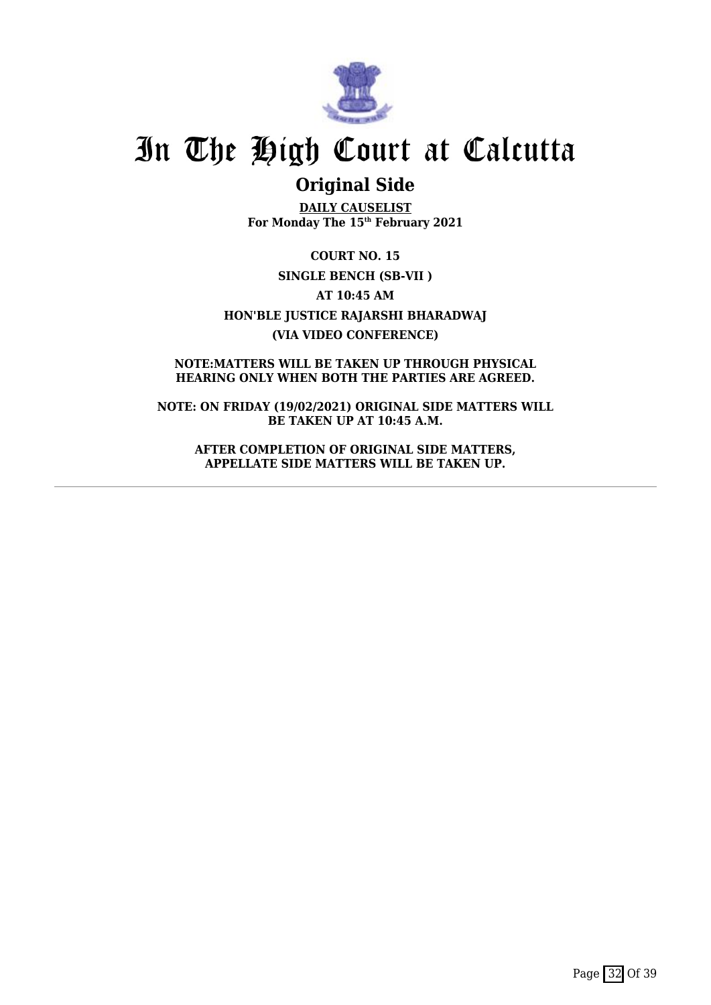

## **Original Side**

**DAILY CAUSELIST For Monday The 15th February 2021**

**COURT NO. 15 SINGLE BENCH (SB-VII ) AT 10:45 AM HON'BLE JUSTICE RAJARSHI BHARADWAJ (VIA VIDEO CONFERENCE)**

**NOTE:MATTERS WILL BE TAKEN UP THROUGH PHYSICAL HEARING ONLY WHEN BOTH THE PARTIES ARE AGREED.**

**NOTE: ON FRIDAY (19/02/2021) ORIGINAL SIDE MATTERS WILL BE TAKEN UP AT 10:45 A.M.**

**AFTER COMPLETION OF ORIGINAL SIDE MATTERS, APPELLATE SIDE MATTERS WILL BE TAKEN UP.**

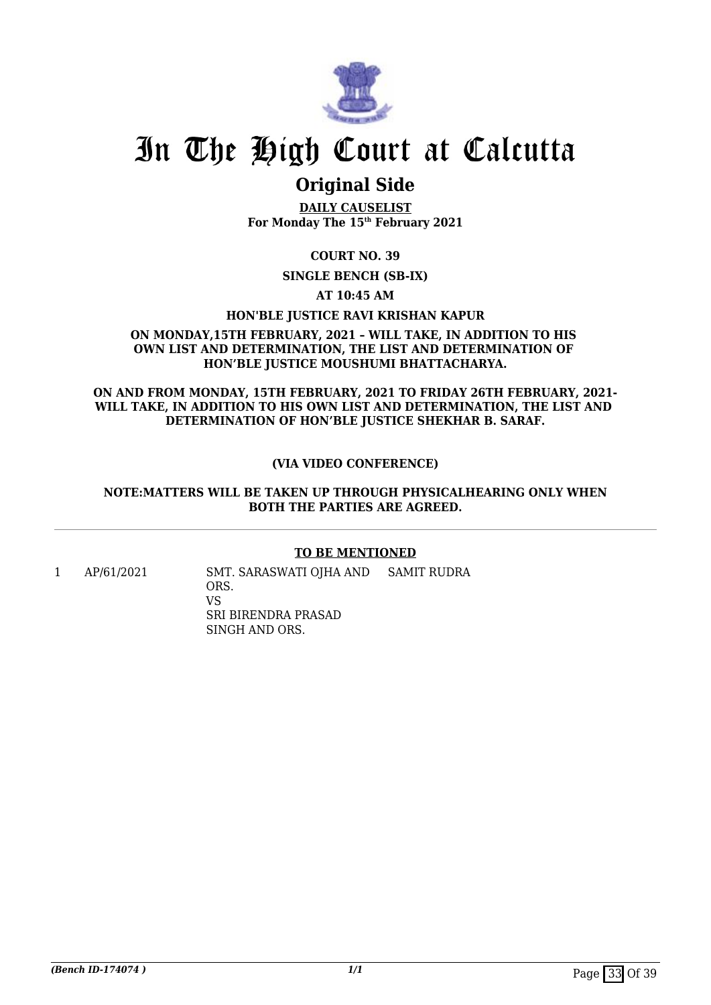

## **Original Side**

**DAILY CAUSELIST For Monday The 15th February 2021**

**COURT NO. 39**

**SINGLE BENCH (SB-IX)**

**AT 10:45 AM**

### **HON'BLE JUSTICE RAVI KRISHAN KAPUR**

### **ON MONDAY,15TH FEBRUARY, 2021 – WILL TAKE, IN ADDITION TO HIS OWN LIST AND DETERMINATION, THE LIST AND DETERMINATION OF HON'BLE JUSTICE MOUSHUMI BHATTACHARYA.**

**ON AND FROM MONDAY, 15TH FEBRUARY, 2021 TO FRIDAY 26TH FEBRUARY, 2021- WILL TAKE, IN ADDITION TO HIS OWN LIST AND DETERMINATION, THE LIST AND DETERMINATION OF HON'BLE JUSTICE SHEKHAR B. SARAF.**

### **(VIA VIDEO CONFERENCE)**

### **NOTE:MATTERS WILL BE TAKEN UP THROUGH PHYSICALHEARING ONLY WHEN BOTH THE PARTIES ARE AGREED.**

### **TO BE MENTIONED**

1 AP/61/2021 SMT. SARASWATI OJHA AND ORS. VS SRI BIRENDRA PRASAD SINGH AND ORS. SAMIT RUDRA

**(Bench ID-174074)** 1/1 Page 33 Of 39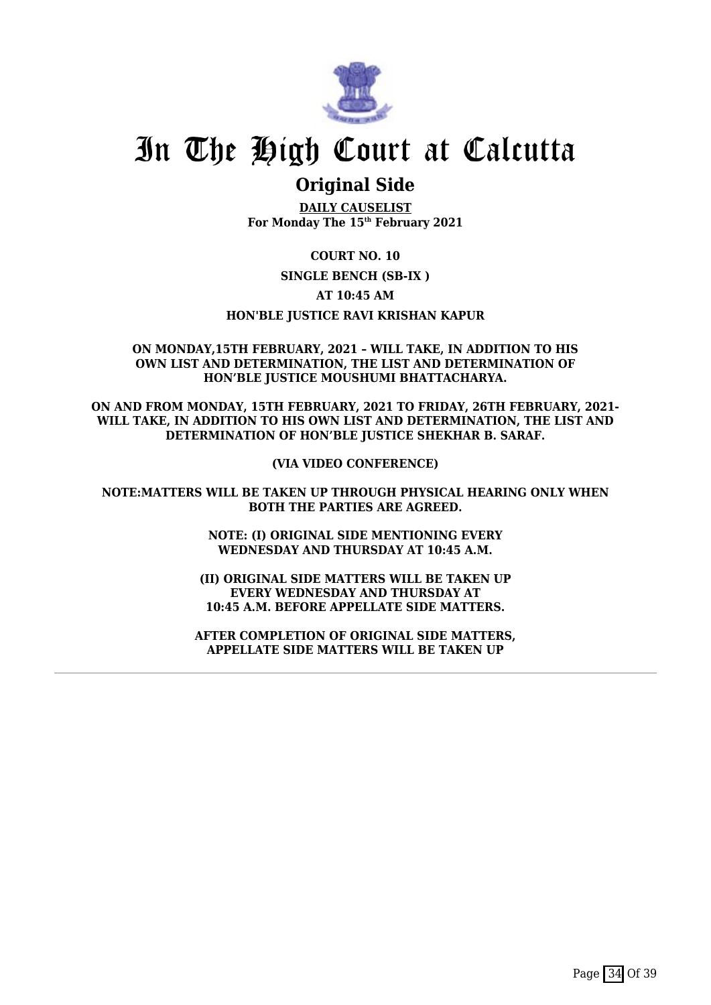

## **Original Side**

**DAILY CAUSELIST For Monday The 15th February 2021**

**COURT NO. 10**

**SINGLE BENCH (SB-IX )**

**AT 10:45 AM**

**HON'BLE JUSTICE RAVI KRISHAN KAPUR**

### **ON MONDAY,15TH FEBRUARY, 2021 – WILL TAKE, IN ADDITION TO HIS OWN LIST AND DETERMINATION, THE LIST AND DETERMINATION OF HON'BLE JUSTICE MOUSHUMI BHATTACHARYA.**

**ON AND FROM MONDAY, 15TH FEBRUARY, 2021 TO FRIDAY, 26TH FEBRUARY, 2021- WILL TAKE, IN ADDITION TO HIS OWN LIST AND DETERMINATION, THE LIST AND DETERMINATION OF HON'BLE JUSTICE SHEKHAR B. SARAF.**

**(VIA VIDEO CONFERENCE)**

**NOTE:MATTERS WILL BE TAKEN UP THROUGH PHYSICAL HEARING ONLY WHEN BOTH THE PARTIES ARE AGREED.**

> **NOTE: (I) ORIGINAL SIDE MENTIONING EVERY WEDNESDAY AND THURSDAY AT 10:45 A.M.**

**(II) ORIGINAL SIDE MATTERS WILL BE TAKEN UP EVERY WEDNESDAY AND THURSDAY AT 10:45 A.M. BEFORE APPELLATE SIDE MATTERS.**

**AFTER COMPLETION OF ORIGINAL SIDE MATTERS, APPELLATE SIDE MATTERS WILL BE TAKEN UP**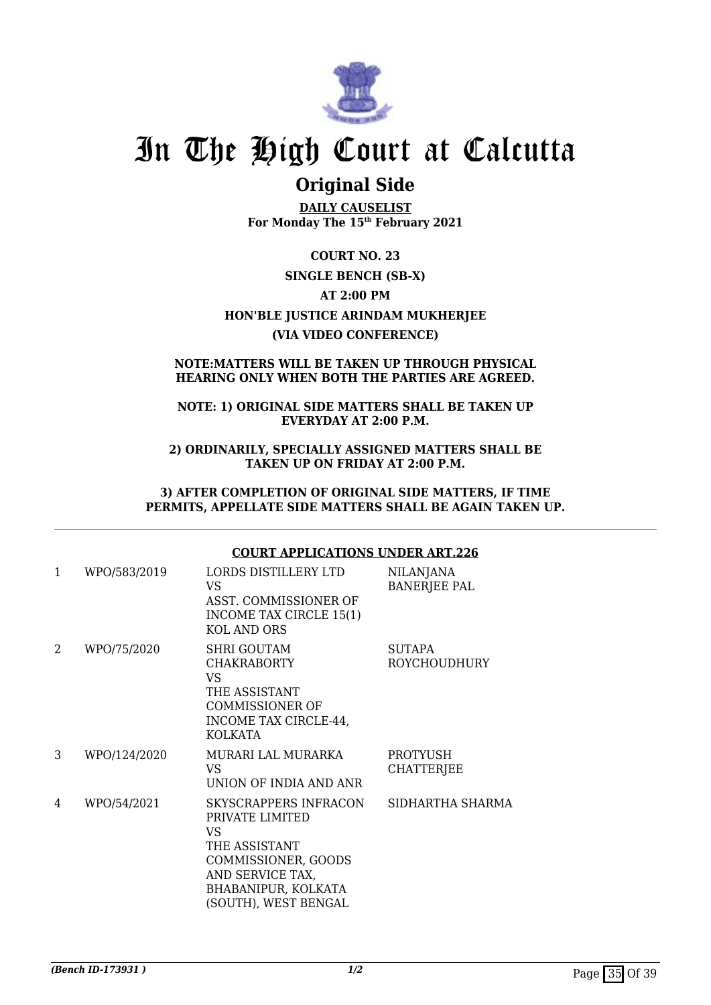

## **Original Side**

**DAILY CAUSELIST For Monday The 15th February 2021**

**COURT NO. 23 SINGLE BENCH (SB-X) AT 2:00 PM HON'BLE JUSTICE ARINDAM MUKHERJEE (VIA VIDEO CONFERENCE)**

### **NOTE:MATTERS WILL BE TAKEN UP THROUGH PHYSICAL HEARING ONLY WHEN BOTH THE PARTIES ARE AGREED.**

### **NOTE: 1) ORIGINAL SIDE MATTERS SHALL BE TAKEN UP EVERYDAY AT 2:00 P.M.**

**2) ORDINARILY, SPECIALLY ASSIGNED MATTERS SHALL BE TAKEN UP ON FRIDAY AT 2:00 P.M.**

**3) AFTER COMPLETION OF ORIGINAL SIDE MATTERS, IF TIME PERMITS, APPELLATE SIDE MATTERS SHALL BE AGAIN TAKEN UP.**

### **COURT APPLICATIONS UNDER ART.226**

| 1 | WPO/583/2019 | LORDS DISTILLERY LTD<br>VS.<br>ASST. COMMISSIONER OF<br>INCOME TAX CIRCLE 15(1)<br><b>KOL AND ORS</b>                                                     | <b>NILANJANA</b><br><b>BANERJEE PAL</b> |
|---|--------------|-----------------------------------------------------------------------------------------------------------------------------------------------------------|-----------------------------------------|
| 2 | WPO/75/2020  | <b>SHRI GOUTAM</b><br><b>CHAKRABORTY</b><br>VS.<br>THE ASSISTANT<br><b>COMMISSIONER OF</b><br>INCOME TAX CIRCLE-44,<br>KOLKATA                            | <b>SUTAPA</b><br><b>ROYCHOUDHURY</b>    |
| 3 | WPO/124/2020 | MURARI LAL MURARKA<br>VS<br>UNION OF INDIA AND ANR                                                                                                        | PROTYUSH<br><b>CHATTERJEE</b>           |
| 4 | WPO/54/2021  | SKYSCRAPPERS INFRACON<br>PRIVATE LIMITED<br>VS<br>THE ASSISTANT<br>COMMISSIONER, GOODS<br>AND SERVICE TAX,<br>BHABANIPUR, KOLKATA<br>(SOUTH), WEST BENGAL | SIDHARTHA SHARMA                        |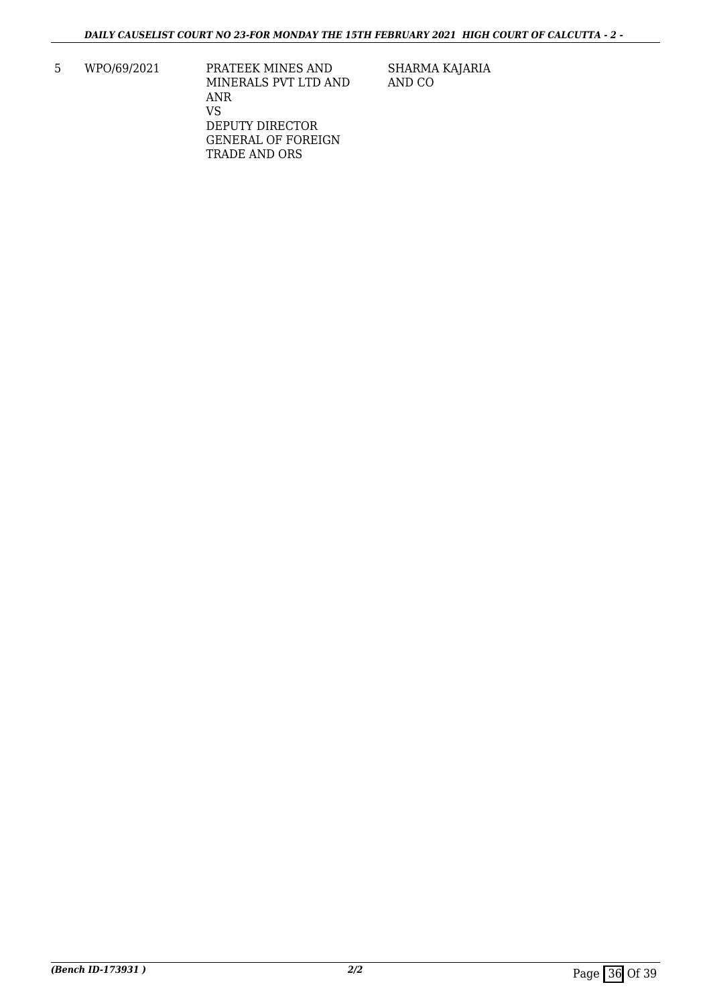5 WPO/69/2021 PRATEEK MINES AND MINERALS PVT LTD AND ANR VS DEPUTY DIRECTOR GENERAL OF FOREIGN TRADE AND ORS

SHARMA KAJARIA AND CO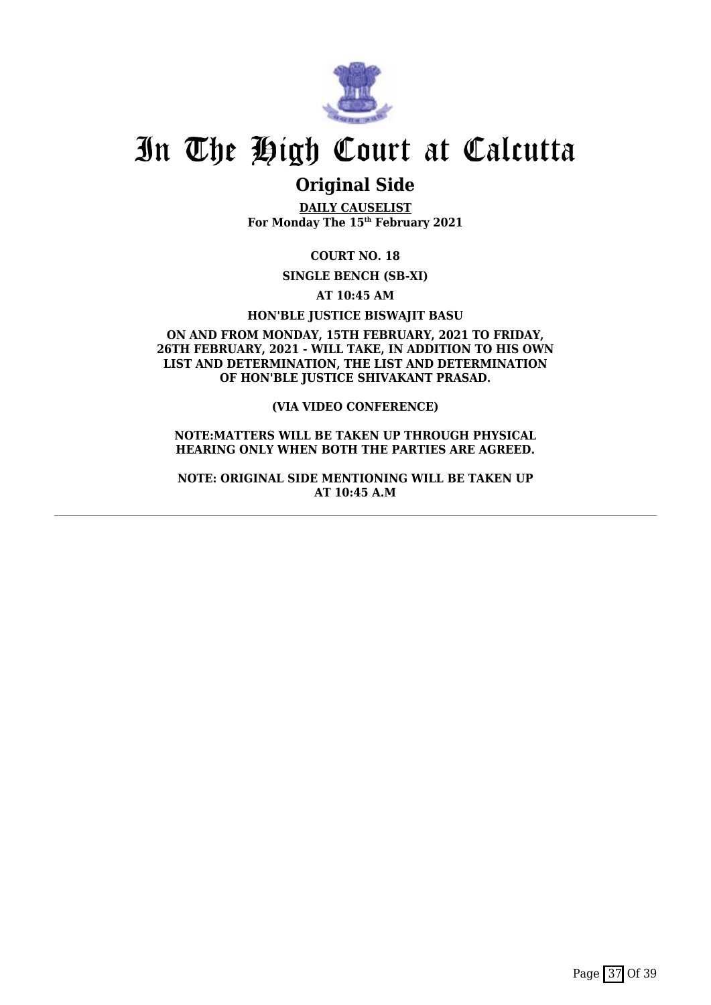

## **Original Side**

**DAILY CAUSELIST For Monday The 15th February 2021**

**COURT NO. 18**

**SINGLE BENCH (SB-XI)**

**AT 10:45 AM**

**HON'BLE JUSTICE BISWAJIT BASU**

**ON AND FROM MONDAY, 15TH FEBRUARY, 2021 TO FRIDAY, 26TH FEBRUARY, 2021 - WILL TAKE, IN ADDITION TO HIS OWN LIST AND DETERMINATION, THE LIST AND DETERMINATION OF HON'BLE JUSTICE SHIVAKANT PRASAD.**

**(VIA VIDEO CONFERENCE)**

**NOTE:MATTERS WILL BE TAKEN UP THROUGH PHYSICAL HEARING ONLY WHEN BOTH THE PARTIES ARE AGREED.**

**NOTE: ORIGINAL SIDE MENTIONING WILL BE TAKEN UP AT 10:45 A.M**

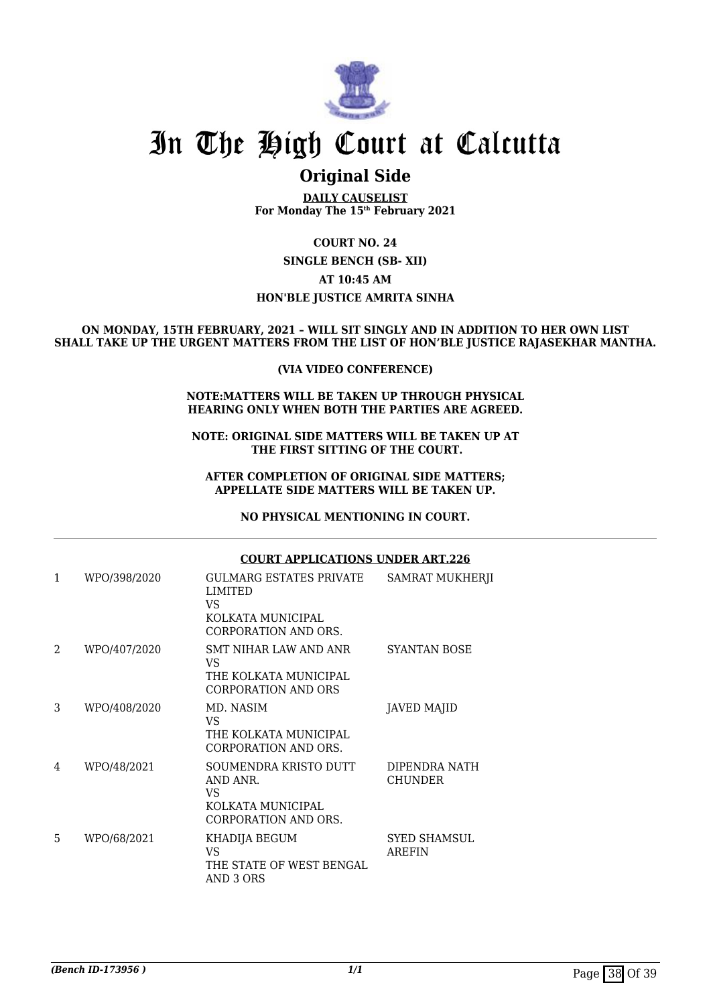

### **Original Side**

**DAILY CAUSELIST For Monday The 15th February 2021**

**COURT NO. 24 SINGLE BENCH (SB- XII) AT 10:45 AM HON'BLE JUSTICE AMRITA SINHA**

#### **ON MONDAY, 15TH FEBRUARY, 2021 – WILL SIT SINGLY AND IN ADDITION TO HER OWN LIST SHALL TAKE UP THE URGENT MATTERS FROM THE LIST OF HON'BLE JUSTICE RAJASEKHAR MANTHA.**

### **(VIA VIDEO CONFERENCE)**

#### **NOTE:MATTERS WILL BE TAKEN UP THROUGH PHYSICAL HEARING ONLY WHEN BOTH THE PARTIES ARE AGREED.**

**NOTE: ORIGINAL SIDE MATTERS WILL BE TAKEN UP AT THE FIRST SITTING OF THE COURT.**

### **AFTER COMPLETION OF ORIGINAL SIDE MATTERS; APPELLATE SIDE MATTERS WILL BE TAKEN UP.**

### **NO PHYSICAL MENTIONING IN COURT.**

|                |              |                                                                                              | COURT APPLICATIONS UNDER ART.226 |  |  |
|----------------|--------------|----------------------------------------------------------------------------------------------|----------------------------------|--|--|
| 1              | WPO/398/2020 | <b>GULMARG ESTATES PRIVATE</b><br>LIMITED<br>VS<br>KOLKATA MUNICIPAL<br>CORPORATION AND ORS. | SAMRAT MUKHERJI                  |  |  |
| $\overline{2}$ | WPO/407/2020 | SMT NIHAR LAW AND ANR<br>VS.<br>THE KOLKATA MUNICIPAL<br>CORPORATION AND ORS                 | SYANTAN BOSE                     |  |  |
| 3              | WPO/408/2020 | MD. NASIM<br>VS.<br>THE KOLKATA MUNICIPAL<br>CORPORATION AND ORS.                            | <b>JAVED MAJID</b>               |  |  |
| 4              | WPO/48/2021  | SOUMENDRA KRISTO DUTT<br>AND ANR.<br>VS.<br>KOLKATA MUNICIPAL<br>CORPORATION AND ORS.        | DIPENDRA NATH<br><b>CHUNDER</b>  |  |  |
| 5              | WPO/68/2021  | KHADIJA BEGUM<br>VS.<br>THE STATE OF WEST BENGAL<br>AND 3 ORS                                | <b>SYED SHAMSUL</b><br>AREFIN    |  |  |

### **COURT APPLICATIONS UNDER ART.226**